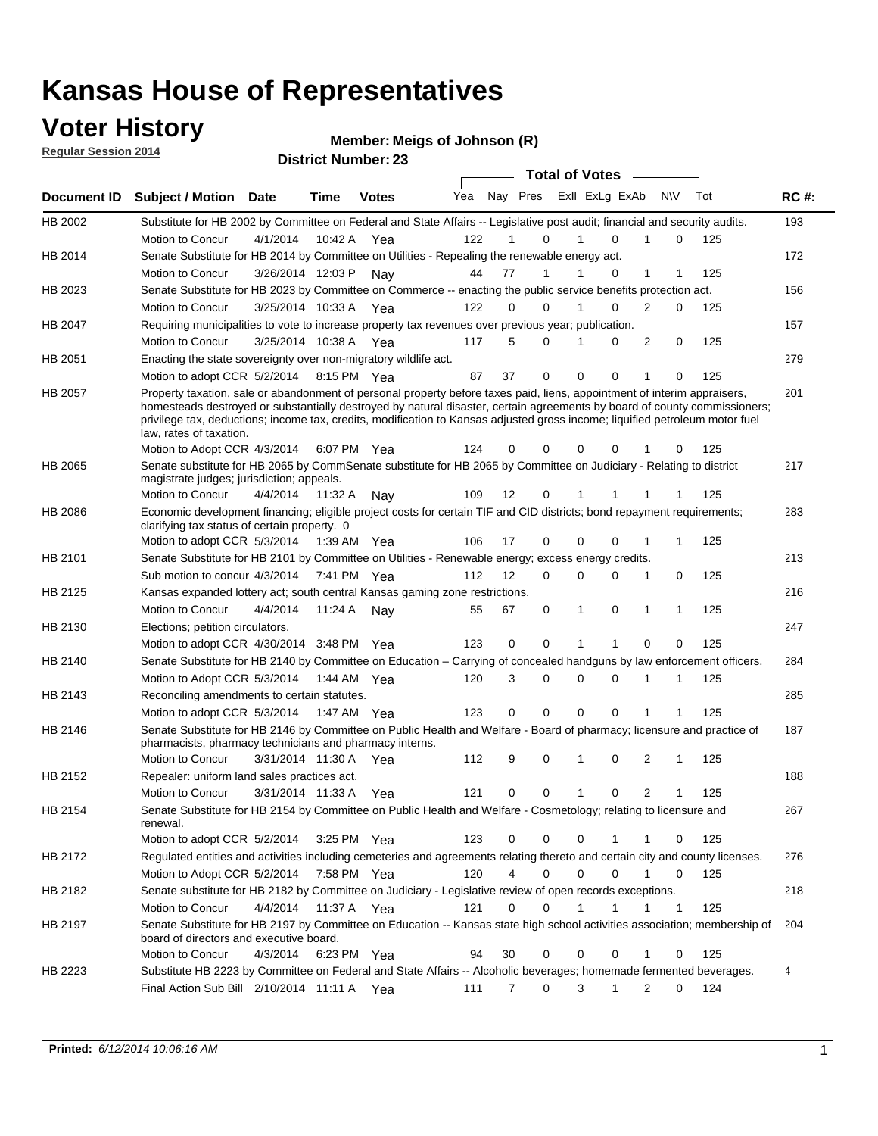### **Voter History**

**Regular Session 2014**

#### **Member: Meigs of Johnson (R)**

|                |                                                                                                                                                                                                                                                                                                                                                                                                                  |                      |             |               |     |    |                             | <b>Total of Votes</b> |          |              |   |              |     |             |
|----------------|------------------------------------------------------------------------------------------------------------------------------------------------------------------------------------------------------------------------------------------------------------------------------------------------------------------------------------------------------------------------------------------------------------------|----------------------|-------------|---------------|-----|----|-----------------------------|-----------------------|----------|--------------|---|--------------|-----|-------------|
| Document ID    | <b>Subject / Motion Date</b>                                                                                                                                                                                                                                                                                                                                                                                     |                      | <b>Time</b> | <b>Votes</b>  | Yea |    | Nay Pres ExII ExLg ExAb N\V |                       |          |              |   |              | Tot | <b>RC#:</b> |
| HB 2002        | Substitute for HB 2002 by Committee on Federal and State Affairs -- Legislative post audit; financial and security audits.                                                                                                                                                                                                                                                                                       |                      |             |               |     |    |                             |                       |          |              |   |              |     | 193         |
|                | Motion to Concur                                                                                                                                                                                                                                                                                                                                                                                                 | 4/1/2014             | 10:42 A     | Yea           | 122 |    | $\Omega$                    |                       | 1        | $\Omega$     |   | $\Omega$     | 125 |             |
| HB 2014        | Senate Substitute for HB 2014 by Committee on Utilities - Repealing the renewable energy act.                                                                                                                                                                                                                                                                                                                    |                      |             |               |     |    |                             |                       |          |              |   |              |     | 172         |
|                | Motion to Concur                                                                                                                                                                                                                                                                                                                                                                                                 | 3/26/2014 12:03 P    |             | Nav           | 44  | 77 | 1                           |                       |          | $\Omega$     | 1 |              | 125 |             |
| HB 2023        | Senate Substitute for HB 2023 by Committee on Commerce -- enacting the public service benefits protection act.                                                                                                                                                                                                                                                                                                   |                      |             |               |     |    |                             |                       |          |              |   |              |     | 156         |
|                | Motion to Concur                                                                                                                                                                                                                                                                                                                                                                                                 | 3/25/2014 10:33 A    |             | Yea           | 122 |    | $\Omega$<br>$\Omega$        |                       | 1        | $\Omega$     | 2 | $\Omega$     | 125 |             |
| HB 2047        | Requiring municipalities to vote to increase property tax revenues over previous year; publication.                                                                                                                                                                                                                                                                                                              |                      |             |               |     |    |                             |                       |          |              |   |              |     | 157         |
|                | Motion to Concur                                                                                                                                                                                                                                                                                                                                                                                                 | 3/25/2014 10:38 A    |             | Yea           | 117 |    | 5<br>$\Omega$               |                       | 1        | $\Omega$     | 2 | 0            | 125 |             |
| HB 2051        | Enacting the state sovereignty over non-migratory wildlife act.                                                                                                                                                                                                                                                                                                                                                  |                      |             |               |     |    |                             |                       |          |              |   |              |     | 279         |
|                | Motion to adopt CCR 5/2/2014 8:15 PM Yea                                                                                                                                                                                                                                                                                                                                                                         |                      |             |               | 87  | 37 | $\mathbf 0$                 |                       | $\Omega$ | $\Omega$     | 1 | $\Omega$     | 125 |             |
| HB 2057        | Property taxation, sale or abandonment of personal property before taxes paid, liens, appointment of interim appraisers,<br>homesteads destroyed or substantially destroyed by natural disaster, certain agreements by board of county commissioners;<br>privilege tax, deductions; income tax, credits, modification to Kansas adjusted gross income; liquified petroleum motor fuel<br>law, rates of taxation. |                      |             |               |     |    |                             |                       |          |              |   |              |     | 201         |
|                | Motion to Adopt CCR 4/3/2014                                                                                                                                                                                                                                                                                                                                                                                     |                      |             | 6:07 PM Yea   | 124 |    | 0<br>0                      |                       | 0        | 0            |   | 0            | 125 |             |
| <b>HB 2065</b> | Senate substitute for HB 2065 by CommSenate substitute for HB 2065 by Committee on Judiciary - Relating to district<br>magistrate judges; jurisdiction; appeals.                                                                                                                                                                                                                                                 |                      |             |               |     |    |                             |                       |          |              |   |              |     | 217         |
|                | Motion to Concur                                                                                                                                                                                                                                                                                                                                                                                                 | 4/4/2014             | 11:32 A     | Nay           | 109 | 12 | 0                           |                       | 1        |              |   |              | 125 |             |
| <b>HB 2086</b> | Economic development financing; eligible project costs for certain TIF and CID districts; bond repayment requirements;<br>clarifying tax status of certain property. 0                                                                                                                                                                                                                                           |                      |             |               |     |    |                             |                       |          |              |   |              |     | 283         |
|                | Motion to adopt CCR 5/3/2014 1:39 AM Yea                                                                                                                                                                                                                                                                                                                                                                         |                      |             |               | 106 | 17 | 0                           |                       | 0        | $\Omega$     | 1 | 1            | 125 |             |
| HB 2101        | Senate Substitute for HB 2101 by Committee on Utilities - Renewable energy; excess energy credits.                                                                                                                                                                                                                                                                                                               |                      |             |               |     |    |                             |                       |          |              |   |              |     | 213         |
|                | Sub motion to concur 4/3/2014                                                                                                                                                                                                                                                                                                                                                                                    |                      |             | 7:41 PM Yea   | 112 | 12 |                             | 0                     | 0        | $\mathbf 0$  | 1 | 0            | 125 |             |
| HB 2125        | Kansas expanded lottery act; south central Kansas gaming zone restrictions.                                                                                                                                                                                                                                                                                                                                      |                      |             |               |     |    |                             |                       |          |              |   |              |     | 216         |
|                | Motion to Concur                                                                                                                                                                                                                                                                                                                                                                                                 | 4/4/2014             | 11:24 A     | Nav           | 55  | 67 |                             | 0                     | 1        | 0            | 1 | 1            | 125 |             |
| HB 2130        | Elections; petition circulators.                                                                                                                                                                                                                                                                                                                                                                                 |                      |             |               |     |    |                             |                       |          |              |   |              |     | 247         |
|                | Motion to adopt CCR 4/30/2014 3:48 PM Yea                                                                                                                                                                                                                                                                                                                                                                        |                      |             |               | 123 |    | $\mathbf 0$<br>0            |                       | 1        | 1            | 0 | 0            | 125 |             |
| HB 2140        | Senate Substitute for HB 2140 by Committee on Education – Carrying of concealed handguns by law enforcement officers.                                                                                                                                                                                                                                                                                            |                      |             |               |     |    |                             |                       |          |              |   |              |     | 284         |
|                | Motion to Adopt CCR 5/3/2014 1:44 AM Yea                                                                                                                                                                                                                                                                                                                                                                         |                      |             |               | 120 |    | 3<br>0                      |                       | 0        | 0            | 1 | 1            | 125 |             |
| HB 2143        | Reconciling amendments to certain statutes.                                                                                                                                                                                                                                                                                                                                                                      |                      |             |               |     |    |                             |                       |          |              |   |              |     | 285         |
|                | Motion to adopt CCR 5/3/2014 1:47 AM Yea                                                                                                                                                                                                                                                                                                                                                                         |                      |             |               | 123 |    | 0<br>0                      |                       | 0        | $\mathbf 0$  | 1 | 1            | 125 |             |
| HB 2146        | Senate Substitute for HB 2146 by Committee on Public Health and Welfare - Board of pharmacy; licensure and practice of<br>pharmacists, pharmacy technicians and pharmacy interns.                                                                                                                                                                                                                                |                      |             |               |     |    |                             |                       |          |              |   |              |     | 187         |
|                | Motion to Concur                                                                                                                                                                                                                                                                                                                                                                                                 | 3/31/2014 11:30 A    |             | Yea           | 112 |    | 9<br>0                      |                       | 1        | $\mathbf 0$  | 2 | 1            | 125 |             |
| HB 2152        | Repealer: uniform land sales practices act.                                                                                                                                                                                                                                                                                                                                                                      |                      |             |               |     |    |                             |                       |          |              |   |              |     | 188         |
|                | <b>Motion to Concur</b>                                                                                                                                                                                                                                                                                                                                                                                          | 3/31/2014 11:33 A    |             | Yea           | 121 |    | 0<br>0                      |                       | 1        | 0            | 2 | $\mathbf 1$  | 125 |             |
| HB 2154        | Senate Substitute for HB 2154 by Committee on Public Health and Welfare - Cosmetology; relating to licensure and<br>renewal.                                                                                                                                                                                                                                                                                     |                      |             |               |     |    |                             |                       |          |              |   |              |     | 267         |
|                | Motion to adopt CCR 5/2/2014                                                                                                                                                                                                                                                                                                                                                                                     |                      |             | $3:25$ PM Yea | 123 |    | 0<br>0                      |                       | 0        |              | 1 | 0            | 125 |             |
| HB 2172        | Regulated entities and activities including cemeteries and agreements relating thereto and certain city and county licenses.                                                                                                                                                                                                                                                                                     |                      |             |               |     |    |                             |                       |          |              |   |              |     | 276         |
|                | Motion to Adopt CCR 5/2/2014                                                                                                                                                                                                                                                                                                                                                                                     |                      |             | 7:58 PM Yea   | 120 |    | $\overline{4}$              | $\mathbf 0$           | 0        | $\mathbf 0$  | 1 | 0            | 125 |             |
| HB 2182        | Senate substitute for HB 2182 by Committee on Judiciary - Legislative review of open records exceptions.                                                                                                                                                                                                                                                                                                         |                      |             |               |     |    |                             |                       |          |              |   |              |     | 218         |
|                | Motion to Concur                                                                                                                                                                                                                                                                                                                                                                                                 | 4/4/2014 11:37 A Yea |             |               | 121 |    | $\mathbf 0$<br>0            |                       | 1        | $\mathbf{1}$ | 1 | $\mathbf{1}$ | 125 |             |
| HB 2197        | Senate Substitute for HB 2197 by Committee on Education -- Kansas state high school activities association; membership of<br>board of directors and executive board.                                                                                                                                                                                                                                             |                      |             |               |     |    |                             |                       |          |              |   |              |     | 204         |
|                | Motion to Concur                                                                                                                                                                                                                                                                                                                                                                                                 | 4/3/2014             |             | 6:23 PM Yea   | 94  | 30 |                             | 0                     | 0        | 0            | 1 | 0            | 125 |             |
| HB 2223        | Substitute HB 2223 by Committee on Federal and State Affairs -- Alcoholic beverages; homemade fermented beverages.                                                                                                                                                                                                                                                                                               |                      |             |               |     |    |                             |                       |          |              |   |              |     | 4           |
|                | Final Action Sub Bill 2/10/2014 11:11 A Yea                                                                                                                                                                                                                                                                                                                                                                      |                      |             |               | 111 |    | 7                           | 0                     | 3        | 1            | 2 | 0            | 124 |             |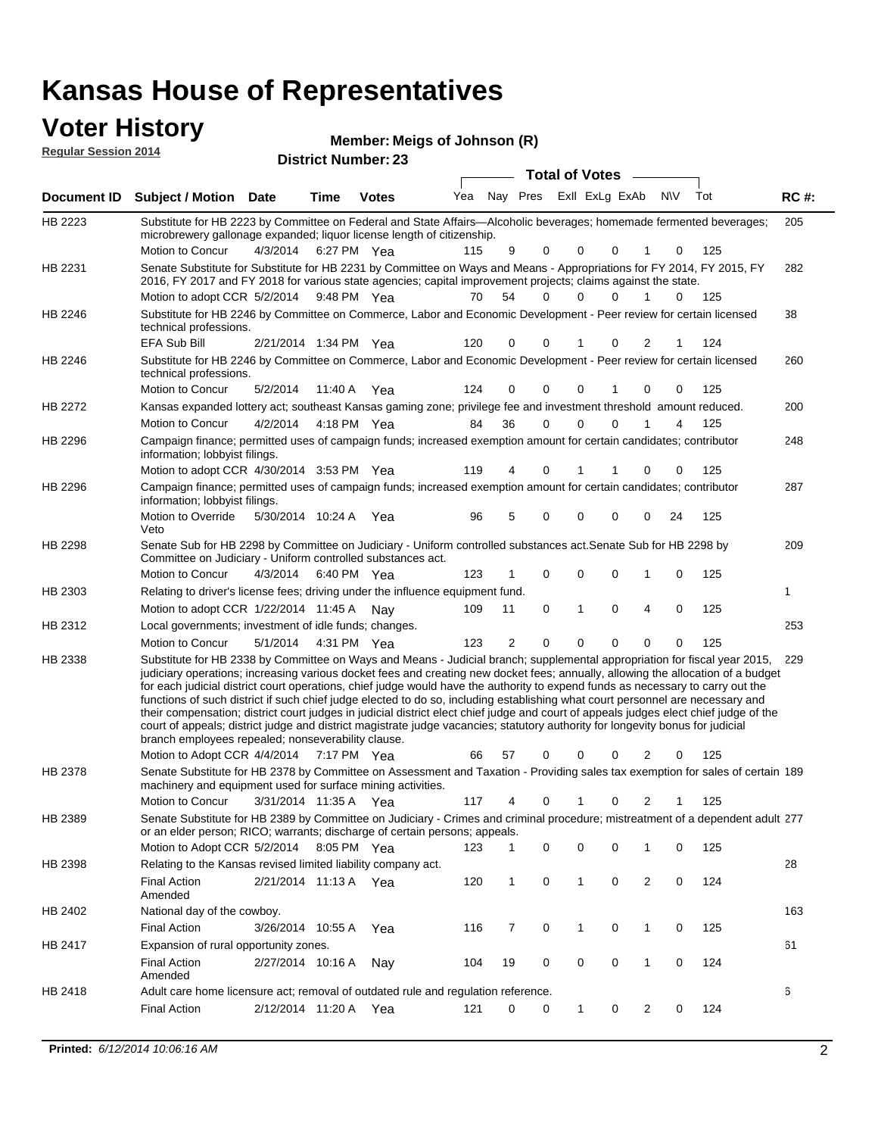| <b>Voter History</b><br>Member: Meigs of Johnson (R)<br><b>Regular Session 2014</b><br><b>District Number: 23</b> |                                                                                                                                                                                                                                        |                       |             |              |     |                |             |              |                       |          |             |     |             |
|-------------------------------------------------------------------------------------------------------------------|----------------------------------------------------------------------------------------------------------------------------------------------------------------------------------------------------------------------------------------|-----------------------|-------------|--------------|-----|----------------|-------------|--------------|-----------------------|----------|-------------|-----|-------------|
|                                                                                                                   |                                                                                                                                                                                                                                        |                       |             |              |     |                |             |              | <b>Total of Votes</b> |          |             |     |             |
| <b>Document ID</b>                                                                                                | <b>Subject / Motion Date</b>                                                                                                                                                                                                           |                       | Time        | <b>Votes</b> | Yea |                | Nay Pres    |              | Exll ExLg ExAb        |          | <b>NV</b>   | Tot | <b>RC#:</b> |
| HB 2223                                                                                                           | Substitute for HB 2223 by Committee on Federal and State Affairs—Alcoholic beverages; homemade fermented beverages;<br>microbrewery gallonage expanded; liquor license length of citizenship.<br>Motion to Concur                      | 4/3/2014              | 6:27 PM Yea |              | 115 | 9              | $\Omega$    | $\Omega$     | $\Omega$              | 1        | $\Omega$    | 125 | 205         |
| HB 2231                                                                                                           | Senate Substitute for Substitute for HB 2231 by Committee on Ways and Means - Appropriations for FY 2014, FY 2015, FY<br>2016, FY 2017 and FY 2018 for various state agencies; capital improvement projects; claims against the state. |                       |             |              |     |                |             |              |                       |          |             |     | 282         |
|                                                                                                                   | Motion to adopt CCR 5/2/2014 9:48 PM Yea                                                                                                                                                                                               |                       |             |              | 70  | 54             | $\Omega$    | $\Omega$     | $\Omega$              |          | $\Omega$    | 125 |             |
| HB 2246                                                                                                           | Substitute for HB 2246 by Committee on Commerce, Labor and Economic Development - Peer review for certain licensed<br>technical professions.                                                                                           |                       |             |              |     |                |             |              |                       |          |             |     | 38          |
|                                                                                                                   | <b>EFA Sub Bill</b>                                                                                                                                                                                                                    | 2/21/2014 1:34 PM Yea |             |              | 120 | 0              | 0           |              | 0                     | 2        |             | 124 |             |
| <b>HB 2246</b>                                                                                                    | Substitute for HB 2246 by Committee on Commerce, Labor and Economic Development - Peer review for certain licensed<br>technical professions.                                                                                           |                       |             |              |     |                |             |              |                       |          |             |     | 260         |
|                                                                                                                   | Motion to Concur                                                                                                                                                                                                                       | 5/2/2014              | 11:40 A     | Yea          | 124 | $\Omega$       | $\Omega$    | $\Omega$     |                       | $\Omega$ | $\Omega$    | 125 |             |
| HB 2272                                                                                                           | Kansas expanded lottery act; southeast Kansas gaming zone; privilege fee and investment threshold amount reduced.                                                                                                                      |                       |             |              |     |                |             |              |                       |          |             |     | 200         |
|                                                                                                                   | Motion to Concur                                                                                                                                                                                                                       | 4/2/2014              | 4:18 PM Yea |              | 84  | 36             | $\Omega$    | $\Omega$     | $\Omega$              |          |             | 125 |             |
| <b>HB 2296</b>                                                                                                    | Campaign finance; permitted uses of campaign funds; increased exemption amount for certain candidates; contributor<br>information; lobbyist filings.                                                                                   |                       |             |              |     |                |             |              |                       |          |             |     | 248         |
|                                                                                                                   | Motion to adopt CCR 4/30/2014 3:53 PM Yea                                                                                                                                                                                              |                       |             |              | 119 | 4              | $\Omega$    |              |                       | 0        | 0           | 125 |             |
| <b>HB 2296</b>                                                                                                    | Campaign finance; permitted uses of campaign funds; increased exemption amount for certain candidates; contributor<br>information; lobbyist filings.                                                                                   |                       |             |              |     |                |             |              |                       |          |             |     | 287         |
|                                                                                                                   | Motion to Override<br>Veto                                                                                                                                                                                                             | 5/30/2014 10:24 A Yea |             |              | 96  | 5              | 0           | 0            | 0                     | 0        | 24          | 125 |             |
| HB 2298                                                                                                           | Senate Sub for HB 2298 by Committee on Judiciary - Uniform controlled substances act. Senate Sub for HB 2298 by<br>Committee on Judiciary - Uniform controlled substances act.                                                         |                       |             |              |     |                |             |              |                       |          |             |     | 209         |
|                                                                                                                   | Motion to Concur                                                                                                                                                                                                                       | 4/3/2014              | 6:40 PM Yea |              | 123 | 1              | $\Omega$    | 0            | $\Omega$              | 1        | $\Omega$    | 125 |             |
| HB 2303                                                                                                           | Relating to driver's license fees; driving under the influence equipment fund.                                                                                                                                                         |                       |             |              |     |                |             |              |                       |          |             |     | 1           |
|                                                                                                                   | Motion to adopt CCR 1/22/2014 11:45 A Nay                                                                                                                                                                                              |                       |             |              | 109 | 11             | $\mathbf 0$ | $\mathbf{1}$ | $\Omega$              | 4        | $\mathbf 0$ | 125 |             |
| HB 2312                                                                                                           | Local governments; investment of idle funds; changes.                                                                                                                                                                                  |                       |             |              |     |                |             |              |                       |          |             |     | 253         |
|                                                                                                                   | Motion to Concur                                                                                                                                                                                                                       | 5/1/2014              | 4:31 PM Yea |              | 123 | $\overline{2}$ | 0           | 0            | $\mathbf 0$           | 0        | 0           | 125 |             |

Substitute for HB 2338 by Committee on Ways and Means - Judicial branch; supplemental appropriation for fiscal year 2015, 229 Motion to Adopt CCR 4/4/2014 7:17 PM Yea 66 57 0 0 0 2 0 125 HB 2338 judiciary operations; increasing various docket fees and creating new docket fees; annually, allowing the allocation of a budget for each judicial district court operations, chief judge would have the authority to expend funds as necessary to carry out the functions of such district if such chief judge elected to do so, including establishing what court personnel are necessary and their compensation; district court judges in judicial district elect chief judge and court of appeals judges elect chief judge of the court of appeals; district judge and district magistrate judge vacancies; statutory authority for longevity bonus for judicial branch employees repealed; nonseverability clause. 7:17 PM Yea 66 57 0 0 0 2 0 Senate Substitute for HB 2378 by Committee on Assessment and Taxation - Providing sales tax exemption for sales of certain 189 HB 2378

3/31/2014 Motion to Concur Yea 125 11:35 A 117 4 0 0 21 1 machinery and equipment used for surface mining activities. Senate Substitute for HB 2389 by Committee on Judiciary - Crimes and criminal procedure; mistreatment of a dependent adult 277 Motion to Adopt CCR 5/2/2014 8:05 PM Yea 123 1 0 0 0 1 0 125 HB 2389 or an elder person; RICO; warrants; discharge of certain persons; appeals. 28 2/21/2014 Final Action Yea 124 11:13 A 120 1 0 0 20 1 HB 2398 Amended Relating to the Kansas revised limited liability company act. 163 Final Action 3/26/2014 10:55 A Yea 116 7 0 1 0 125 HB 2402 National day of the cowboy. 61 2/27/2014 Final Action Nay 124 10:16 A 104 19 0 0 10 0 HB 2417 Expansion of rural opportunity zones.

2/12/2014 Final Action Yea 124 11:20 A 121 0 0 0 20 1

Adult care home licensure act; removal of outdated rule and regulation reference.

HB 2418

Amended

6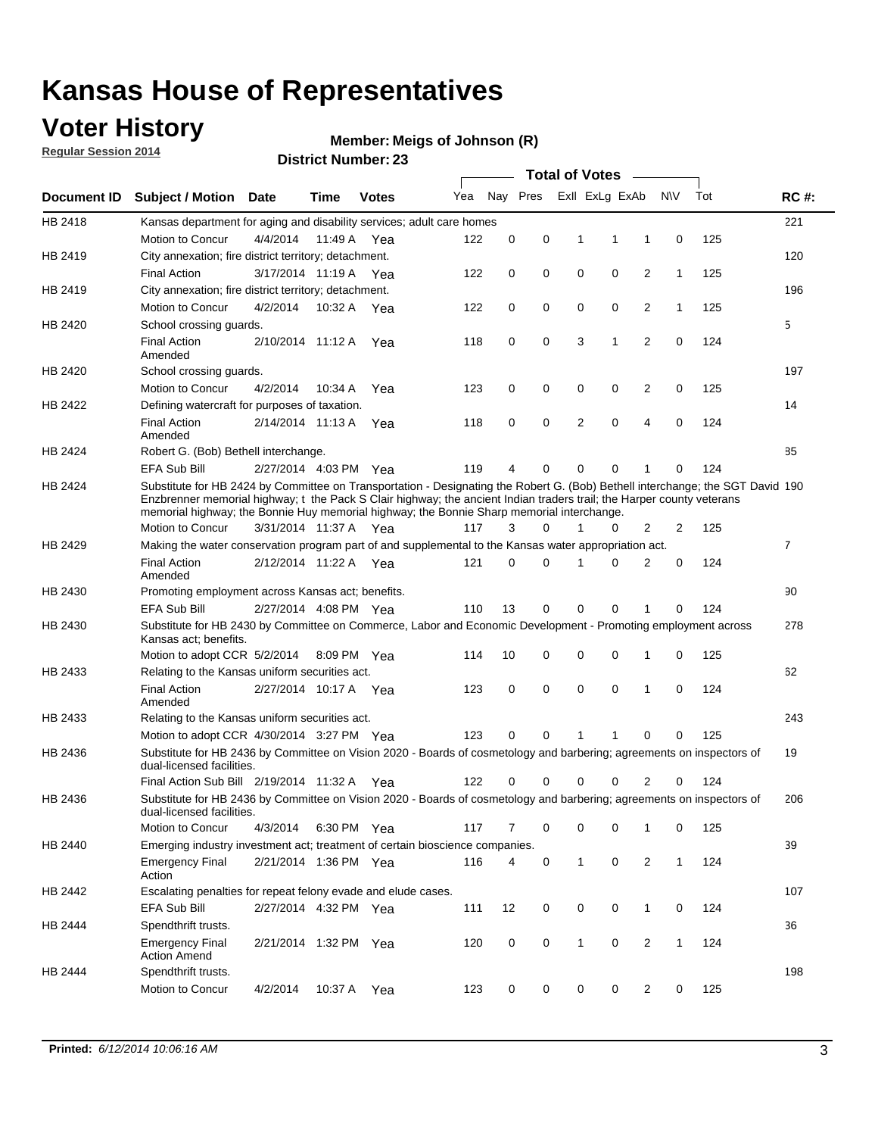### **Voter History**

**Regular Session 2014**

#### **Member: Meigs of Johnson (R)**

|                    |                                                                                                                                                                                                                                                                                                                                                      |                       |         |              |     |             |          | <b>Total of Votes</b> |             |                |              |     |             |
|--------------------|------------------------------------------------------------------------------------------------------------------------------------------------------------------------------------------------------------------------------------------------------------------------------------------------------------------------------------------------------|-----------------------|---------|--------------|-----|-------------|----------|-----------------------|-------------|----------------|--------------|-----|-------------|
| <b>Document ID</b> | <b>Subject / Motion Date</b>                                                                                                                                                                                                                                                                                                                         |                       | Time    | <b>Votes</b> | Yea | Nay Pres    |          | Exll ExLg ExAb        |             |                | N\V          | Tot | <b>RC#:</b> |
| HB 2418            | Kansas department for aging and disability services; adult care homes                                                                                                                                                                                                                                                                                |                       |         |              |     |             |          |                       |             |                |              |     | 221         |
|                    | Motion to Concur                                                                                                                                                                                                                                                                                                                                     | 4/4/2014              | 11:49 A | Yea          | 122 | 0           | 0        | 1                     | 1           | 1              | $\mathbf 0$  | 125 |             |
| HB 2419            | City annexation; fire district territory; detachment.                                                                                                                                                                                                                                                                                                |                       |         |              |     |             |          |                       |             |                |              |     | 120         |
|                    | <b>Final Action</b>                                                                                                                                                                                                                                                                                                                                  | 3/17/2014 11:19 A     |         | Yea          | 122 | 0           | 0        | 0                     | 0           | $\overline{2}$ | 1            | 125 |             |
| HB 2419            | City annexation; fire district territory; detachment.                                                                                                                                                                                                                                                                                                |                       |         |              |     |             |          |                       |             |                |              |     | 196         |
|                    | Motion to Concur                                                                                                                                                                                                                                                                                                                                     | 4/2/2014              | 10:32 A | Yea          | 122 | 0           | 0        | 0                     | 0           | $\overline{2}$ | 1            | 125 |             |
| HB 2420            | School crossing guards.                                                                                                                                                                                                                                                                                                                              |                       |         |              |     |             |          |                       |             |                |              |     | 5           |
|                    | <b>Final Action</b><br>Amended                                                                                                                                                                                                                                                                                                                       | 2/10/2014 11:12 A     |         | Yea          | 118 | 0           | 0        | 3                     | 1           | $\overline{2}$ | 0            | 124 |             |
| HB 2420            | School crossing guards.                                                                                                                                                                                                                                                                                                                              |                       |         |              |     |             |          |                       |             |                |              |     | 197         |
|                    | Motion to Concur                                                                                                                                                                                                                                                                                                                                     | 4/2/2014              | 10:34 A | Yea          | 123 | 0           | 0        | 0                     | 0           | 2              | $\mathbf 0$  | 125 |             |
| HB 2422            | Defining watercraft for purposes of taxation.                                                                                                                                                                                                                                                                                                        |                       |         |              |     |             |          |                       |             |                |              |     | 14          |
|                    | <b>Final Action</b><br>Amended                                                                                                                                                                                                                                                                                                                       | 2/14/2014 11:13 A     |         | Yea          | 118 | 0           | 0        | $\overline{2}$        | $\mathbf 0$ | 4              | $\mathbf 0$  | 124 |             |
| HB 2424            | Robert G. (Bob) Bethell interchange.                                                                                                                                                                                                                                                                                                                 |                       |         |              |     |             |          |                       |             |                |              |     | 85          |
|                    | EFA Sub Bill                                                                                                                                                                                                                                                                                                                                         | 2/27/2014 4:03 PM Yea |         |              | 119 | 4           | 0        | 0                     | $\mathbf 0$ | 1              | 0            | 124 |             |
| HB 2424            | Substitute for HB 2424 by Committee on Transportation - Designating the Robert G. (Bob) Bethell interchange; the SGT David 190<br>Enzbrenner memorial highway; t the Pack S Clair highway; the ancient Indian traders trail; the Harper county veterans<br>memorial highway; the Bonnie Huy memorial highway; the Bonnie Sharp memorial interchange. |                       |         |              |     |             |          |                       |             |                |              |     |             |
|                    | Motion to Concur                                                                                                                                                                                                                                                                                                                                     | 3/31/2014 11:37 A Yea |         |              | 117 | 3           | $\Omega$ | 1                     | 0           | 2              | 2            | 125 |             |
| HB 2429            | Making the water conservation program part of and supplemental to the Kansas water appropriation act.                                                                                                                                                                                                                                                |                       |         |              |     |             |          |                       |             |                |              |     | 7           |
|                    | <b>Final Action</b><br>Amended                                                                                                                                                                                                                                                                                                                       | 2/12/2014 11:22 A     |         | Yea          | 121 | $\Omega$    | 0        | 1                     | $\mathbf 0$ | 2              | 0            | 124 |             |
| HB 2430            | Promoting employment across Kansas act; benefits.                                                                                                                                                                                                                                                                                                    |                       |         |              |     |             |          |                       |             |                |              |     | 90          |
|                    | <b>EFA Sub Bill</b>                                                                                                                                                                                                                                                                                                                                  | 2/27/2014 4:08 PM Yea |         |              | 110 | 13          | 0        | $\Omega$              | $\Omega$    | 1              | 0            | 124 |             |
| HB 2430            | Substitute for HB 2430 by Committee on Commerce, Labor and Economic Development - Promoting employment across<br>Kansas act; benefits.                                                                                                                                                                                                               |                       |         |              |     |             |          |                       |             |                |              |     | 278         |
|                    | Motion to adopt CCR 5/2/2014                                                                                                                                                                                                                                                                                                                         |                       |         | 8:09 PM Yea  | 114 | 10          | 0        | 0                     | 0           | 1              | 0            | 125 |             |
| HB 2433            | Relating to the Kansas uniform securities act.                                                                                                                                                                                                                                                                                                       |                       |         |              |     |             |          |                       |             |                |              |     | 62          |
|                    | <b>Final Action</b><br>Amended                                                                                                                                                                                                                                                                                                                       | 2/27/2014 10:17 A Yea |         |              | 123 | $\mathbf 0$ | 0        | $\mathbf 0$           | $\mathbf 0$ | 1              | $\mathbf 0$  | 124 |             |
| HB 2433            | Relating to the Kansas uniform securities act.                                                                                                                                                                                                                                                                                                       |                       |         |              |     |             |          |                       |             |                |              |     | 243         |
|                    | Motion to adopt CCR 4/30/2014 3:27 PM Yea                                                                                                                                                                                                                                                                                                            |                       |         |              | 123 | $\Omega$    | $\Omega$ | 1                     |             | $\Omega$       | 0            | 125 |             |
| HB 2436            | Substitute for HB 2436 by Committee on Vision 2020 - Boards of cosmetology and barbering; agreements on inspectors of<br>dual-licensed facilities.                                                                                                                                                                                                   |                       |         |              |     |             |          |                       |             |                |              |     | 19          |
|                    | Final Action Sub Bill 2/19/2014 11:32 A                                                                                                                                                                                                                                                                                                              |                       |         | Yea          | 122 | $\Omega$    | 0        | 0                     | 0           | 2              | 0            | 124 |             |
| HB 2436            | Substitute for HB 2436 by Committee on Vision 2020 - Boards of cosmetology and barbering; agreements on inspectors of<br>dual-licensed facilities.                                                                                                                                                                                                   |                       |         |              |     |             |          |                       |             |                |              |     | 206         |
|                    | Motion to Concur                                                                                                                                                                                                                                                                                                                                     | 4/3/2014              |         | 6:30 PM Yea  | 117 | 7           | 0        | 0                     | 0           | 1              | 0            | 125 |             |
| HB 2440            | Emerging industry investment act; treatment of certain bioscience companies.                                                                                                                                                                                                                                                                         |                       |         |              |     |             |          |                       |             |                |              |     | 39          |
|                    | <b>Emergency Final</b><br>Action                                                                                                                                                                                                                                                                                                                     | 2/21/2014 1:36 PM Yea |         |              | 116 | 4           | 0        | 1                     | $\mathbf 0$ | $\overline{2}$ | $\mathbf{1}$ | 124 |             |
| HB 2442            | Escalating penalties for repeat felony evade and elude cases.                                                                                                                                                                                                                                                                                        |                       |         |              |     |             |          |                       |             |                |              |     | 107         |
|                    | EFA Sub Bill                                                                                                                                                                                                                                                                                                                                         | 2/27/2014 4:32 PM Yea |         |              | 111 | 12          | 0        | 0                     | $\mathbf 0$ | $\mathbf{1}$   | 0            | 124 |             |
| HB 2444            | Spendthrift trusts.                                                                                                                                                                                                                                                                                                                                  |                       |         |              |     |             |          |                       |             |                |              |     | 36          |
|                    | <b>Emergency Final</b><br><b>Action Amend</b>                                                                                                                                                                                                                                                                                                        | 2/21/2014 1:32 PM Yea |         |              | 120 | 0           | 0        | $\mathbf{1}$          | $\mathbf 0$ | $\overline{2}$ | $\mathbf{1}$ | 124 |             |
| HB 2444            | Spendthrift trusts.<br>Motion to Concur                                                                                                                                                                                                                                                                                                              | 4/2/2014              | 10:37 A | Yea          | 123 | 0           | 0        | 0                     | 0           | $\overline{2}$ | 0            | 125 | 198         |
|                    |                                                                                                                                                                                                                                                                                                                                                      |                       |         |              |     |             |          |                       |             |                |              |     |             |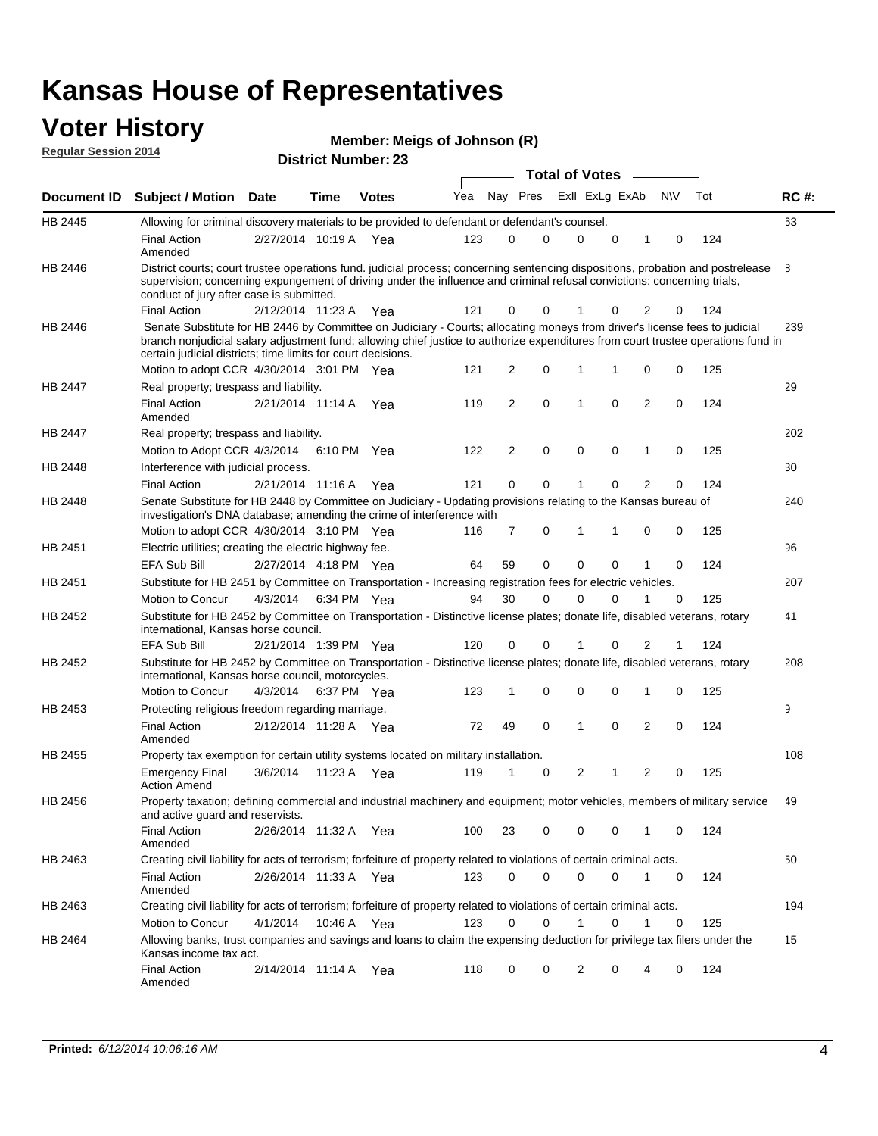#### **Voter History Regular Session 2014**

|  | Member: Meigs of Johnson (R) |
|--|------------------------------|
|--|------------------------------|

|                    |                                                                                                                                                                                                                                                                                                                                 |                       |      |              |     |                |                         | <b>Total of Votes</b> |                |             |                |     |     |             |
|--------------------|---------------------------------------------------------------------------------------------------------------------------------------------------------------------------------------------------------------------------------------------------------------------------------------------------------------------------------|-----------------------|------|--------------|-----|----------------|-------------------------|-----------------------|----------------|-------------|----------------|-----|-----|-------------|
| <b>Document ID</b> | <b>Subject / Motion</b>                                                                                                                                                                                                                                                                                                         | <b>Date</b>           | Time | <b>Votes</b> | Yea |                | Nay Pres ExII ExLg ExAb |                       |                |             |                | N\V | Tot | <b>RC#:</b> |
| HB 2445            | Allowing for criminal discovery materials to be provided to defendant or defendant's counsel.                                                                                                                                                                                                                                   |                       |      |              |     |                |                         |                       |                |             |                |     |     | 63          |
|                    | <b>Final Action</b><br>Amended                                                                                                                                                                                                                                                                                                  | 2/27/2014 10:19 A     |      | Yea          | 123 | 0              | 0                       |                       | $\mathbf 0$    | $\mathbf 0$ | 1              | 0   | 124 |             |
| HB 2446            | District courts; court trustee operations fund. judicial process; concerning sentencing dispositions, probation and postrelease<br>supervision; concerning expungement of driving under the influence and criminal refusal convictions; concerning trials,<br>conduct of jury after case is submitted.                          |                       |      |              |     |                |                         |                       |                |             |                |     |     | 8           |
|                    | <b>Final Action</b>                                                                                                                                                                                                                                                                                                             | 2/12/2014 11:23 A Yea |      |              | 121 | 0              | 0                       |                       |                | 0           | 2              | 0   | 124 |             |
| HB 2446            | Senate Substitute for HB 2446 by Committee on Judiciary - Courts; allocating moneys from driver's license fees to judicial<br>branch nonjudicial salary adjustment fund; allowing chief justice to authorize expenditures from court trustee operations fund in<br>certain judicial districts; time limits for court decisions. |                       |      |              |     |                |                         |                       |                |             |                |     |     | 239         |
|                    | Motion to adopt CCR 4/30/2014 3:01 PM Yea                                                                                                                                                                                                                                                                                       |                       |      |              | 121 | 2              | 0                       | 1                     |                | 1           | 0              | 0   | 125 |             |
| <b>HB 2447</b>     | Real property; trespass and liability.                                                                                                                                                                                                                                                                                          |                       |      |              |     |                |                         |                       |                |             |                |     |     | 29          |
|                    | <b>Final Action</b><br>Amended                                                                                                                                                                                                                                                                                                  | 2/21/2014 11:14 A Yea |      |              | 119 | 2              | $\mathbf 0$             | $\mathbf 1$           |                | 0           | 2              | 0   | 124 |             |
| HB 2447            | Real property; trespass and liability.                                                                                                                                                                                                                                                                                          |                       |      |              |     |                |                         |                       |                |             |                |     |     | 202         |
|                    | Motion to Adopt CCR 4/3/2014                                                                                                                                                                                                                                                                                                    |                       |      | 6:10 PM Yea  | 122 | $\overline{2}$ | $\mathbf 0$             |                       | 0              | $\mathbf 0$ | 1              | 0   | 125 |             |
| HB 2448            | Interference with judicial process.                                                                                                                                                                                                                                                                                             |                       |      |              |     |                |                         |                       |                |             |                |     |     | 30          |
|                    | <b>Final Action</b>                                                                                                                                                                                                                                                                                                             | 2/21/2014 11:16 A Yea |      |              | 121 | 0              | $\mathbf 0$             | 1                     |                | $\Omega$    | $\overline{2}$ | 0   | 124 |             |
| HB 2448            | Senate Substitute for HB 2448 by Committee on Judiciary - Updating provisions relating to the Kansas bureau of<br>investigation's DNA database; amending the crime of interference with                                                                                                                                         |                       |      |              |     |                |                         |                       |                |             |                |     |     | 240         |
|                    | Motion to adopt CCR 4/30/2014 3:10 PM Yea                                                                                                                                                                                                                                                                                       |                       |      |              | 116 | 7              | 0                       | 1                     |                | 1           | 0              | 0   | 125 |             |
| HB 2451            | Electric utilities; creating the electric highway fee.                                                                                                                                                                                                                                                                          |                       |      |              |     |                |                         |                       |                |             |                |     |     | 96          |
|                    | <b>EFA Sub Bill</b>                                                                                                                                                                                                                                                                                                             | 2/27/2014 4:18 PM Yea |      |              | 64  | 59             | 0                       |                       | $\Omega$       | 0           | 1              | 0   | 124 |             |
| HB 2451            | Substitute for HB 2451 by Committee on Transportation - Increasing registration fees for electric vehicles.                                                                                                                                                                                                                     |                       |      |              |     |                |                         |                       |                |             |                |     |     | 207         |
|                    | Motion to Concur                                                                                                                                                                                                                                                                                                                | 4/3/2014              |      | 6:34 PM Yea  | 94  | 30             | 0                       |                       | $\Omega$       | 0           |                | 0   | 125 |             |
| HB 2452            | Substitute for HB 2452 by Committee on Transportation - Distinctive license plates; donate life, disabled veterans, rotary<br>international, Kansas horse council.                                                                                                                                                              |                       |      |              |     |                |                         |                       |                |             |                |     |     | 41          |
|                    | <b>EFA Sub Bill</b>                                                                                                                                                                                                                                                                                                             | 2/21/2014 1:39 PM Yea |      |              | 120 | 0              | 0                       |                       |                | 0           | 2              | 1   | 124 |             |
| HB 2452            | Substitute for HB 2452 by Committee on Transportation - Distinctive license plates; donate life, disabled veterans, rotary<br>international, Kansas horse council, motorcycles.                                                                                                                                                 |                       |      |              |     |                |                         |                       |                |             |                |     |     | 208         |
|                    | Motion to Concur                                                                                                                                                                                                                                                                                                                | 4/3/2014              |      | 6:37 PM Yea  | 123 | 1              | 0                       |                       | $\mathbf 0$    | 0           | 1              | 0   | 125 |             |
| HB 2453            | Protecting religious freedom regarding marriage.                                                                                                                                                                                                                                                                                |                       |      |              |     |                |                         |                       |                |             |                |     |     | 9           |
|                    | <b>Final Action</b><br>Amended                                                                                                                                                                                                                                                                                                  | 2/12/2014 11:28 A Yea |      |              | 72  | 49             | $\mathbf 0$             | 1                     |                | $\Omega$    | 2              | 0   | 124 |             |
| HB 2455            | Property tax exemption for certain utility systems located on military installation.                                                                                                                                                                                                                                            |                       |      |              |     |                |                         |                       |                |             |                |     |     | 108         |
|                    | <b>Emergency Final</b><br><b>Action Amend</b>                                                                                                                                                                                                                                                                                   | 3/6/2014              |      | 11:23 A Yea  | 119 | 1              | 0                       |                       | $\overline{2}$ | 1           | $\overline{2}$ | 0   | 125 |             |
| HB 2456            | Property taxation; defining commercial and industrial machinery and equipment; motor vehicles, members of military service<br>and active guard and reservists.                                                                                                                                                                  |                       |      |              |     |                |                         |                       |                |             |                |     |     | 49          |
|                    | <b>Final Action</b><br>Amended                                                                                                                                                                                                                                                                                                  | 2/26/2014 11:32 A Yea |      |              | 100 | 23             | 0                       |                       | 0              | 0           | 1              | 0   | 124 |             |
| HB 2463            | Creating civil liability for acts of terrorism; forfeiture of property related to violations of certain criminal acts.                                                                                                                                                                                                          |                       |      |              |     |                |                         |                       |                |             |                |     |     | 50          |
|                    | <b>Final Action</b><br>Amended                                                                                                                                                                                                                                                                                                  | 2/26/2014 11:33 A Yea |      |              | 123 | 0              | 0                       |                       | 0              | 0           | $\mathbf{1}$   | 0   | 124 |             |
| HB 2463            | Creating civil liability for acts of terrorism; forfeiture of property related to violations of certain criminal acts.                                                                                                                                                                                                          |                       |      |              |     |                |                         |                       |                |             |                |     |     | 194         |
|                    | Motion to Concur                                                                                                                                                                                                                                                                                                                | 4/1/2014              |      | 10:46 A Yea  | 123 | 0              | 0                       | 1                     |                | 0           | $\mathbf{1}$   | 0   | 125 |             |
| HB 2464            | Allowing banks, trust companies and savings and loans to claim the expensing deduction for privilege tax filers under the<br>Kansas income tax act.                                                                                                                                                                             |                       |      |              |     |                |                         |                       |                |             |                |     |     | 15          |
|                    | <b>Final Action</b><br>Amended                                                                                                                                                                                                                                                                                                  | 2/14/2014 11:14 A Yea |      |              | 118 | 0              | 0                       |                       | 2              | 0           | 4              | 0   | 124 |             |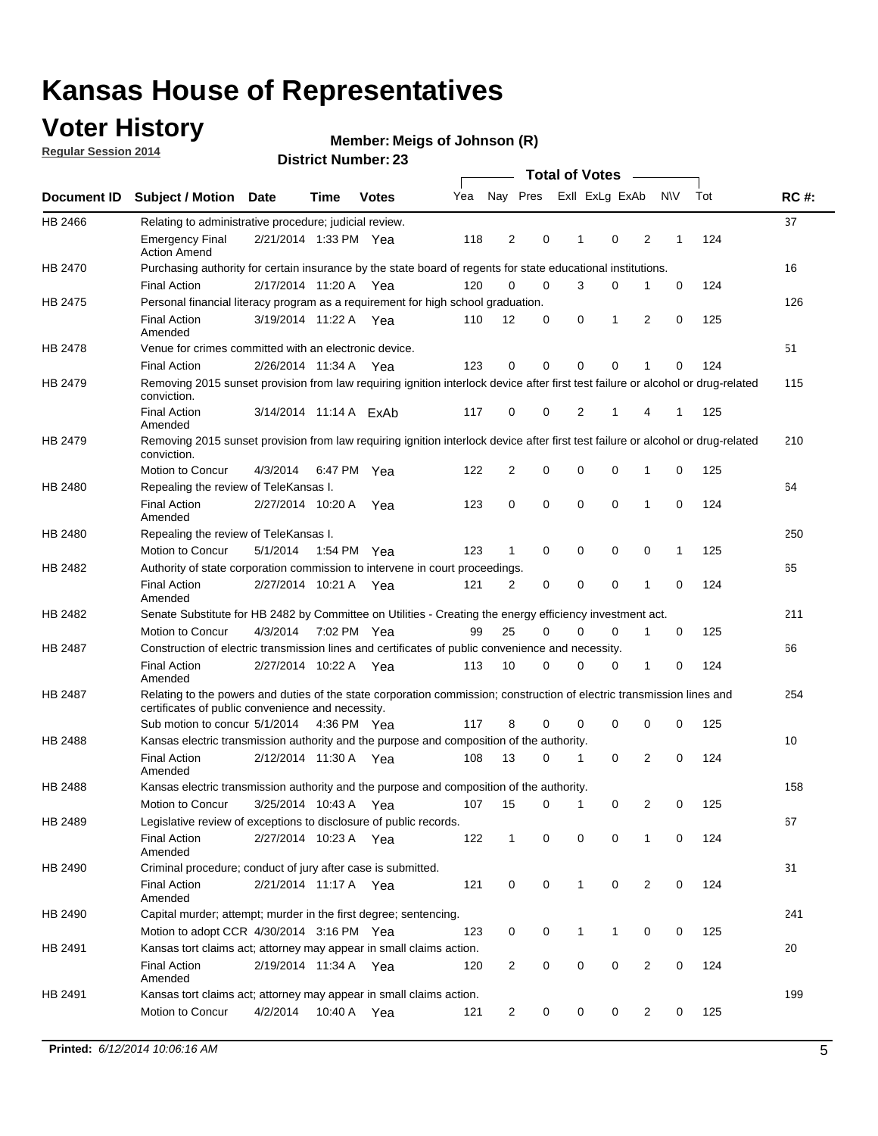### **Voter History**

**Regular Session 2014**

#### **Member: Meigs of Johnson (R)**

|                                                                                                                                                                                                                                        |                                                                                                                                                                             |                        |             |              |     |                |          | <b>Total of Votes</b> |              |                |                |              |     |             |
|----------------------------------------------------------------------------------------------------------------------------------------------------------------------------------------------------------------------------------------|-----------------------------------------------------------------------------------------------------------------------------------------------------------------------------|------------------------|-------------|--------------|-----|----------------|----------|-----------------------|--------------|----------------|----------------|--------------|-----|-------------|
|                                                                                                                                                                                                                                        | <b>Subject / Motion Date</b>                                                                                                                                                |                        | Time        | <b>Votes</b> | Yea |                | Nay Pres |                       |              | Exll ExLg ExAb |                | <b>NV</b>    | Tot | <b>RC#:</b> |
| HB 2466                                                                                                                                                                                                                                | Relating to administrative procedure; judicial review.                                                                                                                      |                        |             |              |     |                |          |                       |              |                |                |              |     | 37          |
|                                                                                                                                                                                                                                        | <b>Emergency Final</b><br><b>Action Amend</b>                                                                                                                               | 2/21/2014 1:33 PM Yea  |             |              | 118 | 2              | 0        |                       | 1            | 0              | 2              | 1            | 124 |             |
| <b>Document ID</b><br>HB 2470<br>HB 2475<br><b>HB 2478</b><br>HB 2479<br>HB 2479<br>HB 2480<br>HB 2480<br>HB 2482<br>HB 2482<br>HB 2487<br>HB 2487<br>HB 2488<br><b>HB 2488</b><br>HB 2489<br>HB 2490<br>HB 2490<br>HB 2491<br>HB 2491 | Purchasing authority for certain insurance by the state board of regents for state educational institutions.                                                                |                        |             |              |     |                |          |                       |              |                |                |              |     | 16          |
|                                                                                                                                                                                                                                        | <b>Final Action</b>                                                                                                                                                         | 2/17/2014 11:20 A Yea  |             |              | 120 | 0              | 0        |                       | 3            | 0              | 1              | 0            | 124 |             |
|                                                                                                                                                                                                                                        | Personal financial literacy program as a requirement for high school graduation.                                                                                            |                        |             |              |     |                |          |                       |              |                |                |              |     | 126         |
|                                                                                                                                                                                                                                        | <b>Final Action</b><br>Amended                                                                                                                                              | 3/19/2014 11:22 A Yea  |             |              | 110 | 12             | 0        |                       | 0            | 1              | 2              | $\mathbf 0$  | 125 |             |
|                                                                                                                                                                                                                                        | Venue for crimes committed with an electronic device.                                                                                                                       |                        |             |              |     |                |          |                       |              |                |                |              |     | 51          |
|                                                                                                                                                                                                                                        | <b>Final Action</b>                                                                                                                                                         | 2/26/2014 11:34 A      |             | Yea          | 123 | 0              | 0        |                       | $\Omega$     | 0              | 1              | 0            | 124 |             |
|                                                                                                                                                                                                                                        | Removing 2015 sunset provision from law requiring ignition interlock device after first test failure or alcohol or drug-related<br>conviction.                              |                        |             |              |     |                |          |                       |              |                |                |              |     | 115         |
|                                                                                                                                                                                                                                        | <b>Final Action</b><br>Amended                                                                                                                                              | 3/14/2014 11:14 A ExAb |             |              | 117 | 0              | 0        |                       | 2            | 1              | 4              | 1            | 125 |             |
|                                                                                                                                                                                                                                        | Removing 2015 sunset provision from law requiring ignition interlock device after first test failure or alcohol or drug-related<br>conviction.                              |                        |             |              |     |                |          |                       |              |                |                |              |     | 210         |
|                                                                                                                                                                                                                                        | Motion to Concur                                                                                                                                                            | 4/3/2014               |             | 6:47 PM Yea  | 122 | 2              | 0        |                       | 0            | 0              | 1              | 0            | 125 |             |
|                                                                                                                                                                                                                                        | Repealing the review of TeleKansas I.                                                                                                                                       |                        |             |              |     |                |          |                       |              |                |                |              |     | 64          |
|                                                                                                                                                                                                                                        | <b>Final Action</b><br>Amended                                                                                                                                              | 2/27/2014 10:20 A Yea  |             |              | 123 | 0              | 0        |                       | $\mathbf 0$  | 0              | 1              | 0            | 124 |             |
|                                                                                                                                                                                                                                        | Repealing the review of TeleKansas I.                                                                                                                                       |                        |             |              |     |                |          |                       |              |                |                |              |     | 250         |
|                                                                                                                                                                                                                                        | Motion to Concur                                                                                                                                                            | 5/1/2014               | 1:54 PM Yea |              | 123 | 1              | 0        |                       | 0            | 0              | 0              | $\mathbf{1}$ | 125 |             |
|                                                                                                                                                                                                                                        | Authority of state corporation commission to intervene in court proceedings.                                                                                                |                        |             |              |     |                |          |                       |              |                |                |              |     | 65          |
|                                                                                                                                                                                                                                        | <b>Final Action</b><br>Amended                                                                                                                                              | 2/27/2014 10:21 A      |             | Yea          | 121 | 2              | 0        |                       | 0            | 0              | 1              | 0            | 124 |             |
|                                                                                                                                                                                                                                        | Senate Substitute for HB 2482 by Committee on Utilities - Creating the energy efficiency investment act.                                                                    |                        |             |              |     |                |          |                       |              |                |                |              |     | 211         |
|                                                                                                                                                                                                                                        | Motion to Concur                                                                                                                                                            | 4/3/2014 7:02 PM Yea   |             |              | 99  | 25             | 0        |                       | 0            | 0              | 1              | 0            | 125 |             |
|                                                                                                                                                                                                                                        | Construction of electric transmission lines and certificates of public convenience and necessity.                                                                           |                        |             |              |     |                |          |                       |              |                |                |              |     | 66          |
|                                                                                                                                                                                                                                        | <b>Final Action</b><br>Amended                                                                                                                                              | 2/27/2014 10:22 A Yea  |             |              | 113 | 10             | 0        |                       | 0            | 0              | 1              | 0            | 124 |             |
|                                                                                                                                                                                                                                        | Relating to the powers and duties of the state corporation commission; construction of electric transmission lines and<br>certificates of public convenience and necessity. |                        |             |              |     |                |          |                       |              |                |                |              |     | 254         |
|                                                                                                                                                                                                                                        | Sub motion to concur 5/1/2014 4:36 PM Yea                                                                                                                                   |                        |             |              | 117 | 8              | 0        |                       | 0            | $\mathbf 0$    | 0              | 0            | 125 |             |
|                                                                                                                                                                                                                                        | Kansas electric transmission authority and the purpose and composition of the authority.                                                                                    |                        |             |              |     |                |          |                       |              |                |                |              |     | 10          |
|                                                                                                                                                                                                                                        | <b>Final Action</b><br>Amended                                                                                                                                              | 2/12/2014 11:30 A Yea  |             |              | 108 | 13             | 0        |                       | 1            | $\mathbf 0$    | 2              | $\mathbf 0$  | 124 |             |
|                                                                                                                                                                                                                                        | Kansas electric transmission authority and the purpose and composition of the authority.                                                                                    |                        |             |              |     |                |          |                       |              |                |                |              |     | 158         |
|                                                                                                                                                                                                                                        | Motion to Concur                                                                                                                                                            | 3/25/2014 10:43 A      |             | Yea          | 107 | 15             | 0        |                       | 1            | 0              | 2              | 0            | 125 |             |
|                                                                                                                                                                                                                                        | Legislative review of exceptions to disclosure of public records.                                                                                                           |                        |             |              |     |                |          |                       |              |                |                |              |     | 67          |
|                                                                                                                                                                                                                                        | <b>Final Action</b><br>Amended                                                                                                                                              | 2/27/2014 10:23 A Yea  |             |              | 122 | $\mathbf{1}$   |          | 0                     | 0            | 0              | 1              | 0            | 124 |             |
|                                                                                                                                                                                                                                        | Criminal procedure; conduct of jury after case is submitted.                                                                                                                |                        |             |              |     |                |          |                       |              |                |                |              |     | 31          |
|                                                                                                                                                                                                                                        | <b>Final Action</b><br>Amended                                                                                                                                              | 2/21/2014 11:17 A Yea  |             |              | 121 | 0              | 0        |                       | $\mathbf{1}$ | $\mathbf 0$    | $\overline{2}$ | 0            | 124 |             |
|                                                                                                                                                                                                                                        | Capital murder; attempt; murder in the first degree; sentencing.                                                                                                            |                        |             |              |     |                |          |                       |              |                |                |              |     | 241         |
|                                                                                                                                                                                                                                        | Motion to adopt CCR 4/30/2014 3:16 PM Yea                                                                                                                                   |                        |             |              | 123 | 0              | 0        |                       | $\mathbf{1}$ | 1              | 0              | 0            | 125 |             |
|                                                                                                                                                                                                                                        | Kansas tort claims act; attorney may appear in small claims action.                                                                                                         |                        |             |              |     |                |          |                       |              |                |                |              |     | 20          |
|                                                                                                                                                                                                                                        | <b>Final Action</b><br>Amended                                                                                                                                              | 2/19/2014 11:34 A Yea  |             |              | 120 | $\overline{2}$ | 0        |                       | 0            | 0              | 2              | 0            | 124 |             |
|                                                                                                                                                                                                                                        | Kansas tort claims act; attorney may appear in small claims action.                                                                                                         |                        |             |              |     |                |          |                       |              |                |                |              |     | 199         |
|                                                                                                                                                                                                                                        | Motion to Concur                                                                                                                                                            | 4/2/2014               |             | 10:40 A Yea  | 121 | $\overline{2}$ |          | 0                     | 0            | 0              | $\overline{2}$ | 0            | 125 |             |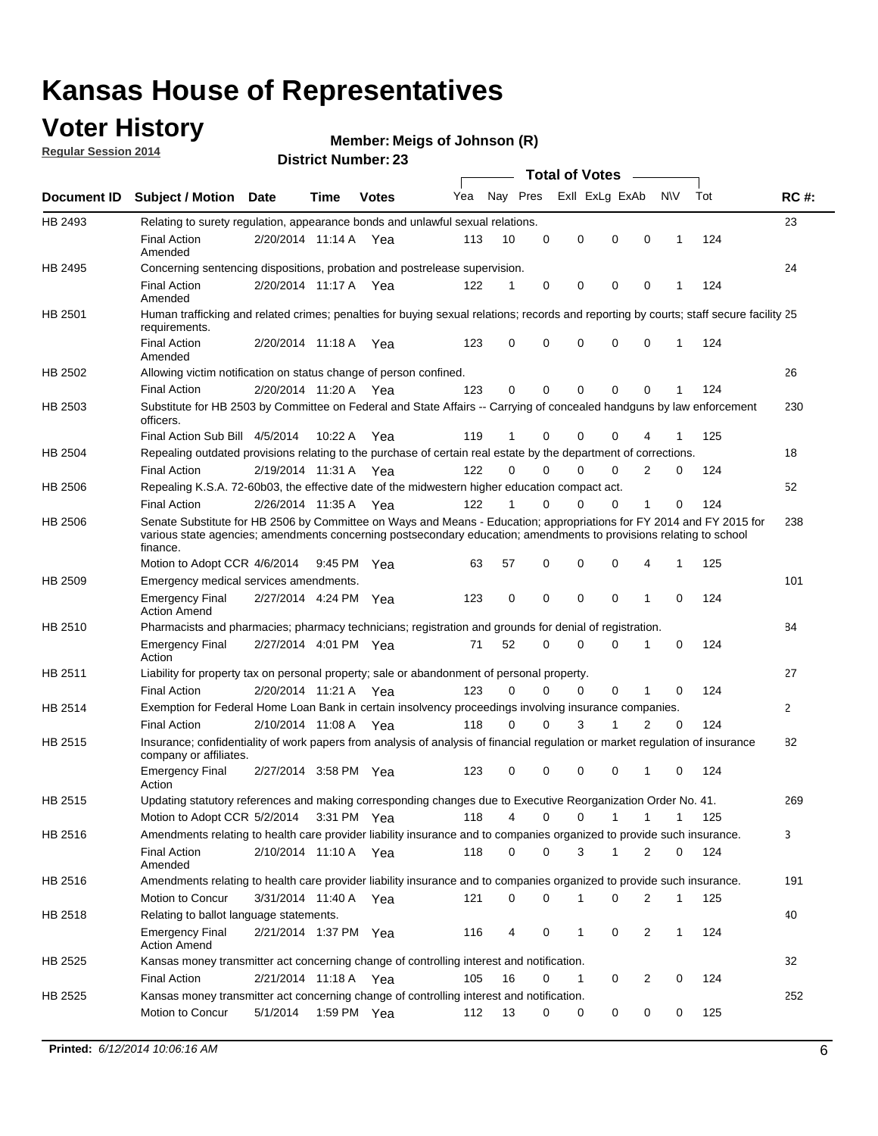### **Voter History**

**Regular Session 2014**

#### **Member: Meigs of Johnson (R)**

|                    | <b>Total of Votes</b>                                                                                                                                                                                                                                  |                       |             |              |     |          |          |                |              |                |              |     |              |
|--------------------|--------------------------------------------------------------------------------------------------------------------------------------------------------------------------------------------------------------------------------------------------------|-----------------------|-------------|--------------|-----|----------|----------|----------------|--------------|----------------|--------------|-----|--------------|
| <b>Document ID</b> | <b>Subject / Motion Date</b>                                                                                                                                                                                                                           |                       | Time        | <b>Votes</b> | Yea | Nay Pres |          | Exll ExLg ExAb |              |                | <b>NV</b>    | Tot | <b>RC#:</b>  |
| HB 2493            | Relating to surety regulation, appearance bonds and unlawful sexual relations.                                                                                                                                                                         |                       |             |              |     |          |          |                |              |                |              |     | 23           |
|                    | <b>Final Action</b><br>Amended                                                                                                                                                                                                                         | 2/20/2014 11:14 A     |             | Yea          | 113 | 10       | 0        | 0              | $\mathbf 0$  | 0              | $\mathbf 1$  | 124 |              |
| HB 2495            | Concerning sentencing dispositions, probation and postrelease supervision.                                                                                                                                                                             |                       |             |              |     |          |          |                |              |                |              |     | 24           |
|                    | <b>Final Action</b><br>Amended                                                                                                                                                                                                                         | 2/20/2014 11:17 A Yea |             |              | 122 | 1        | 0        | 0              | $\mathbf 0$  | $\mathbf 0$    | -1           | 124 |              |
| HB 2501            | Human trafficking and related crimes; penalties for buying sexual relations; records and reporting by courts; staff secure facility 25<br>requirements.                                                                                                |                       |             |              |     |          |          |                |              |                |              |     |              |
|                    | <b>Final Action</b><br>Amended                                                                                                                                                                                                                         | 2/20/2014 11:18 A Yea |             |              | 123 | $\Omega$ | 0        | 0              | $\Omega$     | $\mathbf 0$    | 1            | 124 |              |
| HB 2502            | Allowing victim notification on status change of person confined.                                                                                                                                                                                      |                       |             |              |     |          |          |                |              |                |              |     | 26           |
|                    | <b>Final Action</b>                                                                                                                                                                                                                                    | 2/20/2014 11:20 A Yea |             |              | 123 | $\Omega$ | 0        | $\mathbf{0}$   | $\Omega$     | $\Omega$       |              | 124 |              |
| HB 2503            | Substitute for HB 2503 by Committee on Federal and State Affairs -- Carrying of concealed handguns by law enforcement<br>officers.                                                                                                                     |                       |             |              |     |          |          |                |              |                |              |     | 230          |
|                    | Final Action Sub Bill 4/5/2014                                                                                                                                                                                                                         |                       | 10:22 A     | Yea          | 119 |          | 0        | 0              | 0            | 4              |              | 125 |              |
| HB 2504            | Repealing outdated provisions relating to the purchase of certain real estate by the department of corrections.                                                                                                                                        |                       |             |              |     |          |          |                |              |                |              |     | 18           |
|                    | <b>Final Action</b>                                                                                                                                                                                                                                    | 2/19/2014 11:31 A Yea |             |              | 122 | $\Omega$ | $\Omega$ | 0              | $\mathbf{0}$ | $\overline{2}$ | 0            | 124 |              |
| HB 2506            | Repealing K.S.A. 72-60b03, the effective date of the midwestern higher education compact act.                                                                                                                                                          |                       |             |              |     |          |          |                |              |                |              |     | 52           |
|                    | <b>Final Action</b>                                                                                                                                                                                                                                    | 2/26/2014 11:35 A Yea |             |              | 122 |          | $\Omega$ | 0              | 0            | 1              | 0            | 124 |              |
| HB 2506            | Senate Substitute for HB 2506 by Committee on Ways and Means - Education; appropriations for FY 2014 and FY 2015 for<br>various state agencies; amendments concerning postsecondary education; amendments to provisions relating to school<br>finance. |                       |             |              |     |          |          |                |              |                |              |     | 238          |
|                    | Motion to Adopt CCR 4/6/2014                                                                                                                                                                                                                           |                       | 9:45 PM Yea |              | 63  | 57       | 0        | 0              | 0            | 4              | -1           | 125 |              |
| HB 2509            | Emergency medical services amendments.                                                                                                                                                                                                                 |                       |             |              |     |          |          |                |              |                |              |     | 101          |
|                    | Emergency Final<br><b>Action Amend</b>                                                                                                                                                                                                                 | 2/27/2014 4:24 PM Yea |             |              | 123 | 0        | 0        | $\mathbf 0$    | 0            | 1              | 0            | 124 |              |
| HB 2510            | Pharmacists and pharmacies; pharmacy technicians; registration and grounds for denial of registration.                                                                                                                                                 |                       |             |              |     |          |          |                |              |                |              |     | 84           |
|                    | <b>Emergency Final</b><br>Action                                                                                                                                                                                                                       | 2/27/2014 4:01 PM Yea |             |              | 71  | 52       | 0        | 0              | 0            | 1              | 0            | 124 |              |
| HB 2511            | Liability for property tax on personal property; sale or abandonment of personal property.                                                                                                                                                             |                       |             |              |     |          |          |                |              |                |              |     | 27           |
|                    | <b>Final Action</b>                                                                                                                                                                                                                                    | 2/20/2014 11:21 A     |             | Yea          | 123 | $\Omega$ | $\Omega$ | 0              | 0            | 1              | 0            | 124 |              |
| HB 2514            | Exemption for Federal Home Loan Bank in certain insolvency proceedings involving insurance companies.                                                                                                                                                  |                       |             |              |     |          |          |                |              |                |              |     | $\mathbf{2}$ |
|                    | <b>Final Action</b>                                                                                                                                                                                                                                    | 2/10/2014 11:08 A     |             | Yea          | 118 | $\Omega$ | $\Omega$ | 3              | 1            | 2              | $\mathbf 0$  | 124 |              |
| HB 2515            | Insurance; confidentiality of work papers from analysis of analysis of financial regulation or market regulation of insurance<br>company or affiliates.                                                                                                |                       |             |              |     |          |          |                |              |                |              |     | 82           |
|                    | <b>Emergency Final</b><br>Action                                                                                                                                                                                                                       | 2/27/2014 3:58 PM Yea |             |              | 123 | 0        | 0        | 0              | 0            | 1              | 0            | 124 |              |
| HB 2515            | Updating statutory references and making corresponding changes due to Executive Reorganization Order No. 41.                                                                                                                                           |                       |             |              |     |          |          |                |              |                |              |     | 269          |
|                    | Motion to Adopt CCR 5/2/2014 3:31 PM Yea                                                                                                                                                                                                               |                       |             |              | 118 | 4        | 0        | 0              | $\mathbf{1}$ | $\mathbf{1}$   | $\mathbf{1}$ | 125 |              |
| HB 2516            | Amendments relating to health care provider liability insurance and to companies organized to provide such insurance.                                                                                                                                  |                       |             |              |     |          |          |                |              |                |              |     | 3            |
|                    | <b>Final Action</b><br>Amended                                                                                                                                                                                                                         | 2/10/2014 11:10 A Yea |             |              | 118 | 0        | 0        | 3              | 1            | 2              | 0            | 124 |              |
| HB 2516            | Amendments relating to health care provider liability insurance and to companies organized to provide such insurance.                                                                                                                                  |                       |             |              |     |          |          |                |              |                |              |     | 191          |
|                    | Motion to Concur                                                                                                                                                                                                                                       | 3/31/2014 11:40 A Yea |             |              | 121 | 0        | 0        | 1              | 0            | 2              | $\mathbf{1}$ | 125 |              |
| HB 2518            | Relating to ballot language statements.                                                                                                                                                                                                                |                       |             |              |     |          |          |                |              |                |              |     | 40           |
|                    | Emergency Final<br><b>Action Amend</b>                                                                                                                                                                                                                 | 2/21/2014 1:37 PM Yea |             |              | 116 | 4        | 0        | 1              | 0            | 2              | 1            | 124 |              |
| HB 2525            | Kansas money transmitter act concerning change of controlling interest and notification.                                                                                                                                                               |                       |             |              |     |          |          |                |              |                |              |     | 32           |
|                    | <b>Final Action</b>                                                                                                                                                                                                                                    | 2/21/2014 11:18 A Yea |             |              | 105 | 16       | 0        | $\mathbf{1}$   | 0            | 2              | 0            | 124 |              |
| HB 2525            | Kansas money transmitter act concerning change of controlling interest and notification.                                                                                                                                                               |                       |             |              |     |          |          |                |              |                |              |     | 252          |
|                    | Motion to Concur                                                                                                                                                                                                                                       | 5/1/2014              |             | 1:59 PM Yea  | 112 | 13       | 0        | 0              | 0            | 0              | 0            | 125 |              |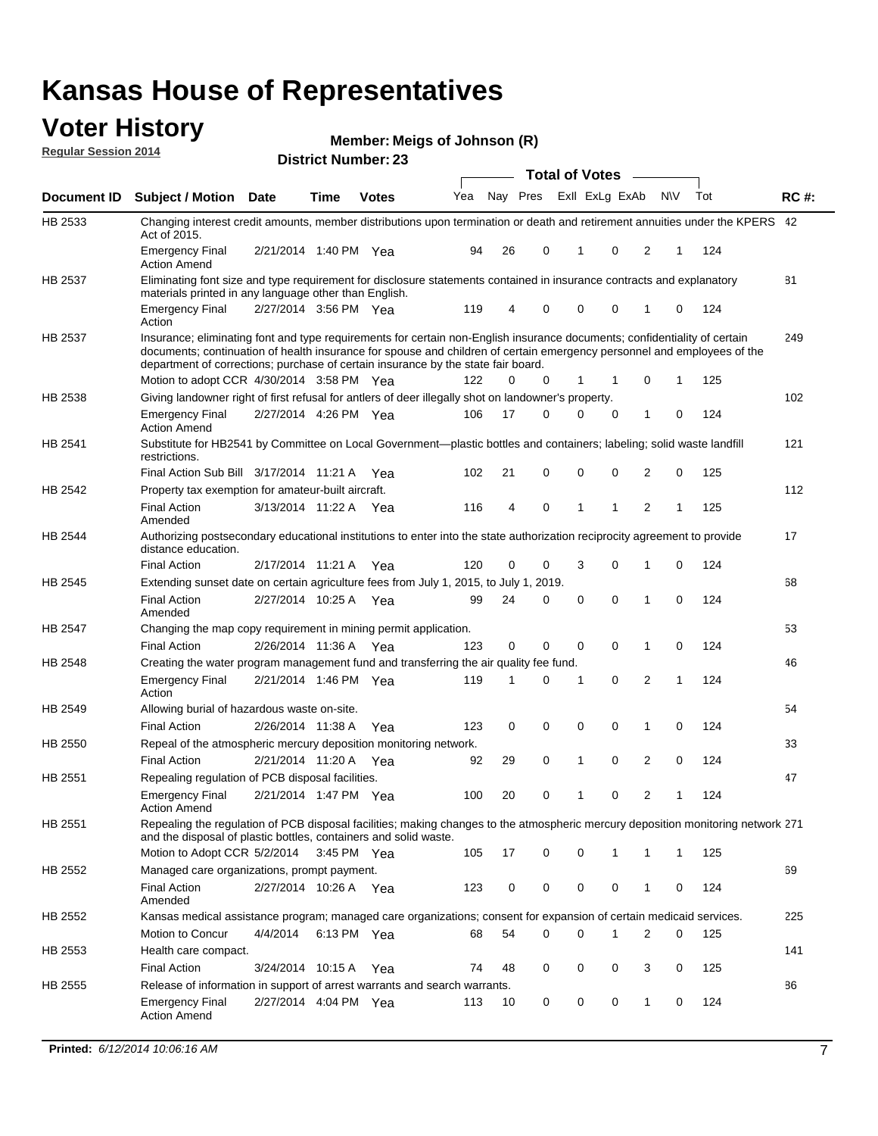#### **Voter History Regular Session 2014**

|                |                                                                                                                                                                                                                                                                                                                                           |                       |             |              | <b>Total of Votes</b> |    |             |              |                |                |   |     |             |
|----------------|-------------------------------------------------------------------------------------------------------------------------------------------------------------------------------------------------------------------------------------------------------------------------------------------------------------------------------------------|-----------------------|-------------|--------------|-----------------------|----|-------------|--------------|----------------|----------------|---|-----|-------------|
| Document ID    | <b>Subject / Motion Date</b>                                                                                                                                                                                                                                                                                                              |                       | Time        | <b>Votes</b> | Yea                   |    | Nay Pres    |              | Exll ExLg ExAb | N\V            |   | Tot | <b>RC#:</b> |
| HB 2533        | Changing interest credit amounts, member distributions upon termination or death and retirement annuities under the KPERS 42<br>Act of 2015.                                                                                                                                                                                              |                       |             |              |                       |    |             |              |                |                |   |     |             |
|                | <b>Emergency Final</b><br><b>Action Amend</b>                                                                                                                                                                                                                                                                                             | 2/21/2014 1:40 PM Yea |             |              | 94                    | 26 | 0           | $\mathbf{1}$ | 0              | 2              | 1 | 124 |             |
| HB 2537        | Eliminating font size and type requirement for disclosure statements contained in insurance contracts and explanatory<br>materials printed in any language other than English.                                                                                                                                                            |                       |             |              |                       |    |             |              |                |                |   |     | 81          |
|                | <b>Emergency Final</b><br>Action                                                                                                                                                                                                                                                                                                          | 2/27/2014 3:56 PM Yea |             |              | 119                   | 4  | 0           | 0            | 0              | 1              | 0 | 124 |             |
| HB 2537        | Insurance; eliminating font and type requirements for certain non-English insurance documents; confidentiality of certain<br>documents; continuation of health insurance for spouse and children of certain emergency personnel and employees of the<br>department of corrections; purchase of certain insurance by the state fair board. |                       |             |              |                       |    |             |              |                |                |   |     | 249         |
|                | Motion to adopt CCR 4/30/2014 3:58 PM Yea                                                                                                                                                                                                                                                                                                 |                       |             |              | 122                   | 0  | 0           | 1            | -1             | 0              | 1 | 125 |             |
| HB 2538        | Giving landowner right of first refusal for antlers of deer illegally shot on landowner's property.                                                                                                                                                                                                                                       |                       |             |              |                       |    |             |              |                |                |   |     | 102         |
|                | <b>Emergency Final</b><br><b>Action Amend</b>                                                                                                                                                                                                                                                                                             | 2/27/2014 4:26 PM Yea |             |              | 106                   | 17 | 0           | 0            | 0              | 1              | 0 | 124 |             |
| HB 2541        | Substitute for HB2541 by Committee on Local Government—plastic bottles and containers; labeling; solid waste landfill<br>restrictions.                                                                                                                                                                                                    |                       |             |              |                       |    |             |              |                |                |   |     | 121         |
|                | Final Action Sub Bill 3/17/2014 11:21 A Yea                                                                                                                                                                                                                                                                                               |                       |             |              | 102                   | 21 | 0           | $\mathbf 0$  | 0              | 2              | 0 | 125 |             |
| HB 2542        | Property tax exemption for amateur-built aircraft.<br><b>Final Action</b>                                                                                                                                                                                                                                                                 | 3/13/2014 11:22 A Yea |             |              | 116                   | 4  | 0           | $\mathbf{1}$ | 1              | 2              | 1 | 125 | 112         |
| HB 2544        | Amended<br>Authorizing postsecondary educational institutions to enter into the state authorization reciprocity agreement to provide<br>distance education.                                                                                                                                                                               |                       |             |              |                       |    |             |              |                |                |   |     | 17          |
|                | <b>Final Action</b>                                                                                                                                                                                                                                                                                                                       | 2/17/2014 11:21 A Yea |             |              | 120                   | 0  | 0           | 3            | 0              | 1              | 0 | 124 |             |
| HB 2545        | Extending sunset date on certain agriculture fees from July 1, 2015, to July 1, 2019.                                                                                                                                                                                                                                                     |                       |             |              |                       |    |             |              |                |                |   |     | 68          |
|                | <b>Final Action</b><br>Amended                                                                                                                                                                                                                                                                                                            | 2/27/2014 10:25 A Yea |             |              | 99                    | 24 | 0           | $\mathbf 0$  | $\Omega$       | 1              | 0 | 124 |             |
| <b>HB 2547</b> | Changing the map copy requirement in mining permit application.                                                                                                                                                                                                                                                                           |                       |             |              |                       |    |             |              |                |                |   |     | 53          |
|                | <b>Final Action</b>                                                                                                                                                                                                                                                                                                                       | 2/26/2014 11:36 A     |             | Yea          | 123                   | 0  | 0           | 0            | 0              | 1              | 0 | 124 |             |
| HB 2548        | Creating the water program management fund and transferring the air quality fee fund.                                                                                                                                                                                                                                                     |                       |             |              |                       |    |             |              |                |                |   |     | 46          |
|                | <b>Emergency Final</b><br>Action                                                                                                                                                                                                                                                                                                          | 2/21/2014 1:46 PM Yea |             |              | 119                   | 1  | 0           | 1            | 0              | 2              | 1 | 124 |             |
| HB 2549        | Allowing burial of hazardous waste on-site.                                                                                                                                                                                                                                                                                               |                       |             |              |                       |    |             |              |                |                |   |     | 54          |
|                | <b>Final Action</b>                                                                                                                                                                                                                                                                                                                       | 2/26/2014 11:38 A     |             | Yea          | 123                   | 0  | $\mathbf 0$ | 0            | 0              | 1              | 0 | 124 |             |
| HB 2550        | Repeal of the atmospheric mercury deposition monitoring network.                                                                                                                                                                                                                                                                          |                       |             |              |                       |    |             |              |                |                |   |     | 33          |
|                | <b>Final Action</b>                                                                                                                                                                                                                                                                                                                       | 2/21/2014 11:20 A Yea |             |              | 92                    | 29 | 0           | 1            | 0              | 2              | 0 | 124 |             |
| HB 2551        | Repealing regulation of PCB disposal facilities.                                                                                                                                                                                                                                                                                          |                       |             |              |                       |    |             |              |                |                |   |     | 47          |
|                | <b>Emergency Final</b><br>Action Amend                                                                                                                                                                                                                                                                                                    | 2/21/2014 1:47 PM Yea |             |              | 100                   | 20 | 0           | 1            | 0              | $\overline{2}$ | 1 | 124 |             |
| HB 2551        | Repealing the regulation of PCB disposal facilities; making changes to the atmospheric mercury deposition monitoring network 271<br>and the disposal of plastic bottles, containers and solid waste.                                                                                                                                      |                       |             |              |                       |    |             |              |                |                |   |     |             |
|                | Motion to Adopt CCR 5/2/2014 3:45 PM Yea                                                                                                                                                                                                                                                                                                  |                       |             |              | 105                   | 17 | 0           | 0            | 1              | 1              | 1 | 125 |             |
| HB 2552        | Managed care organizations, prompt payment.                                                                                                                                                                                                                                                                                               |                       |             |              |                       |    |             |              |                |                |   |     | 69          |
|                | <b>Final Action</b><br>Amended                                                                                                                                                                                                                                                                                                            | 2/27/2014 10:26 A Yea |             |              | 123                   | 0  | 0           | 0            | 0              | 1              | 0 | 124 |             |
| HB 2552        | Kansas medical assistance program; managed care organizations; consent for expansion of certain medicaid services.                                                                                                                                                                                                                        |                       |             |              |                       |    |             |              |                |                |   |     | 225         |
|                | Motion to Concur                                                                                                                                                                                                                                                                                                                          | 4/4/2014              | 6:13 PM Yea |              | 68                    | 54 | 0           | 0            | 1              | 2              | 0 | 125 |             |
| HB 2553        | Health care compact.                                                                                                                                                                                                                                                                                                                      |                       |             |              |                       |    |             |              |                |                |   |     | 141         |
|                | <b>Final Action</b>                                                                                                                                                                                                                                                                                                                       | 3/24/2014 10:15 A Yea |             |              | 74                    | 48 | 0           | 0            | 0              | 3              | 0 | 125 |             |
| HB 2555        | Release of information in support of arrest warrants and search warrants.                                                                                                                                                                                                                                                                 |                       |             |              |                       |    |             |              |                |                |   |     | 86          |
|                | <b>Emergency Final</b><br><b>Action Amend</b>                                                                                                                                                                                                                                                                                             | 2/27/2014 4:04 PM Yea |             |              | 113                   | 10 | 0           | 0            | 0              | $\mathbf{1}$   | 0 | 124 |             |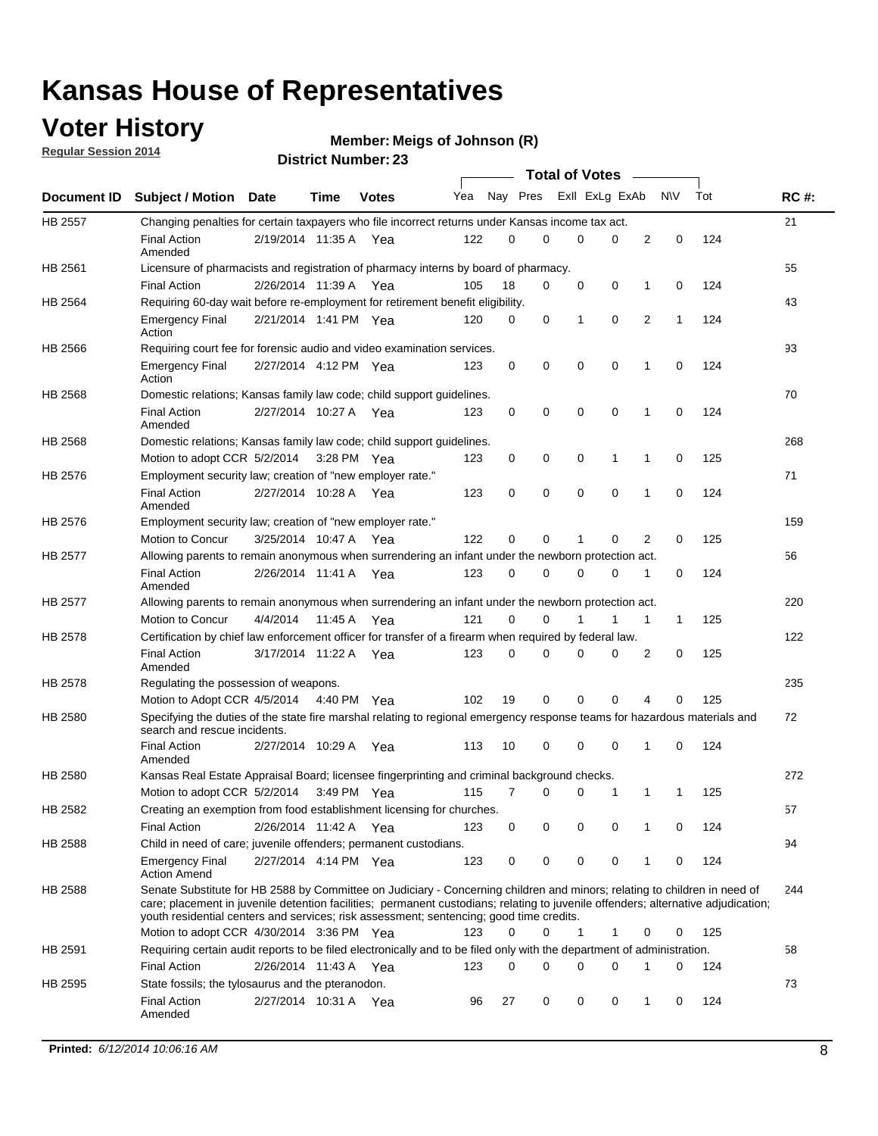### **Voter History**

**Regular Session 2014**

#### **Member: Meigs of Johnson (R)**

|                |                                                                                                                                                                                                                                                                                                                                                           |                       |             |              |     |          |   | <b>Total of Votes</b> |             |             |             |     |             |
|----------------|-----------------------------------------------------------------------------------------------------------------------------------------------------------------------------------------------------------------------------------------------------------------------------------------------------------------------------------------------------------|-----------------------|-------------|--------------|-----|----------|---|-----------------------|-------------|-------------|-------------|-----|-------------|
|                | Document ID Subject / Motion Date                                                                                                                                                                                                                                                                                                                         |                       | Time        | <b>Votes</b> | Yea | Nay Pres |   | Exll ExLg ExAb        |             |             | <b>NV</b>   | Tot | <b>RC#:</b> |
| <b>HB 2557</b> | Changing penalties for certain taxpayers who file incorrect returns under Kansas income tax act.                                                                                                                                                                                                                                                          |                       |             |              |     |          |   |                       |             |             |             |     | 21          |
|                | <b>Final Action</b><br>Amended                                                                                                                                                                                                                                                                                                                            | 2/19/2014 11:35 A     |             | Yea          | 122 | 0        | 0 | 0                     | 0           | 2           | $\mathbf 0$ | 124 |             |
| HB 2561        | Licensure of pharmacists and registration of pharmacy interns by board of pharmacy.                                                                                                                                                                                                                                                                       |                       |             |              |     |          |   |                       |             |             |             |     | 55          |
|                | <b>Final Action</b>                                                                                                                                                                                                                                                                                                                                       | 2/26/2014 11:39 A Yea |             |              | 105 | 18       | 0 | 0                     | 0           | 1           | 0           | 124 |             |
| HB 2564        | Requiring 60-day wait before re-employment for retirement benefit eligibility.                                                                                                                                                                                                                                                                            |                       |             |              |     |          |   |                       |             |             |             |     | 43          |
|                | <b>Emergency Final</b><br>Action                                                                                                                                                                                                                                                                                                                          | 2/21/2014 1:41 PM Yea |             |              | 120 | 0        | 0 | 1                     | 0           | 2           | 1           | 124 |             |
| HB 2566        | Requiring court fee for forensic audio and video examination services.                                                                                                                                                                                                                                                                                    |                       |             |              |     |          |   |                       |             |             |             |     | 93          |
|                | <b>Emergency Final</b><br>Action                                                                                                                                                                                                                                                                                                                          | 2/27/2014 4:12 PM Yea |             |              | 123 | 0        | 0 | 0                     | $\mathbf 0$ | $\mathbf 1$ | 0           | 124 |             |
| HB 2568        | Domestic relations; Kansas family law code; child support guidelines.                                                                                                                                                                                                                                                                                     |                       |             |              |     |          |   |                       |             |             |             |     | 70          |
|                | <b>Final Action</b><br>Amended                                                                                                                                                                                                                                                                                                                            | 2/27/2014 10:27 A     |             | Yea          | 123 | 0        | 0 | 0                     | $\mathbf 0$ | 1           | 0           | 124 |             |
| HB 2568        | Domestic relations; Kansas family law code; child support guidelines.                                                                                                                                                                                                                                                                                     |                       |             |              |     |          |   |                       |             |             |             |     | 268         |
|                | Motion to adopt CCR 5/2/2014                                                                                                                                                                                                                                                                                                                              |                       | 3:28 PM Yea |              | 123 | 0        | 0 | 0                     | 1           | 1           | $\mathbf 0$ | 125 |             |
| HB 2576        | Employment security law; creation of "new employer rate."                                                                                                                                                                                                                                                                                                 |                       |             |              |     |          |   |                       |             |             |             |     | 71          |
|                | <b>Final Action</b><br>Amended                                                                                                                                                                                                                                                                                                                            | 2/27/2014 10:28 A Yea |             |              | 123 | 0        | 0 | 0                     | 0           | 1           | 0           | 124 |             |
| HB 2576        | Employment security law; creation of "new employer rate."                                                                                                                                                                                                                                                                                                 |                       |             |              |     |          |   |                       |             |             |             |     | 159         |
|                | Motion to Concur                                                                                                                                                                                                                                                                                                                                          | 3/25/2014 10:47 A     |             | Yea          | 122 | 0        | 0 | 1                     | 0           | 2           | 0           | 125 |             |
| HB 2577        | Allowing parents to remain anonymous when surrendering an infant under the newborn protection act.                                                                                                                                                                                                                                                        |                       |             |              |     |          |   |                       |             |             |             |     | 56          |
|                | <b>Final Action</b><br>Amended                                                                                                                                                                                                                                                                                                                            | 2/26/2014 11:41 A Yea |             |              | 123 | $\Omega$ | 0 | 0                     | $\Omega$    | 1           | 0           | 124 |             |
| HB 2577        | Allowing parents to remain anonymous when surrendering an infant under the newborn protection act.                                                                                                                                                                                                                                                        |                       |             |              |     |          |   |                       |             |             |             |     | 220         |
|                | Motion to Concur                                                                                                                                                                                                                                                                                                                                          | 4/4/2014              | 11:45 A     | Yea          | 121 | $\Omega$ | 0 | 1                     | 1           | 1           | 1           | 125 |             |
| HB 2578        | Certification by chief law enforcement officer for transfer of a firearm when required by federal law.                                                                                                                                                                                                                                                    |                       |             |              |     |          |   |                       |             |             |             |     | 122         |
|                | <b>Final Action</b><br>Amended                                                                                                                                                                                                                                                                                                                            | 3/17/2014 11:22 A     |             | Yea          | 123 | 0        | 0 | 0                     | 0           | 2           | 0           | 125 |             |
| HB 2578        | Regulating the possession of weapons.                                                                                                                                                                                                                                                                                                                     |                       |             |              |     |          |   |                       |             |             |             |     | 235         |
|                | Motion to Adopt CCR 4/5/2014 4:40 PM Yea                                                                                                                                                                                                                                                                                                                  |                       |             |              | 102 | 19       | 0 | 0                     | 0           | 4           | 0           | 125 |             |
| HB 2580        | Specifying the duties of the state fire marshal relating to regional emergency response teams for hazardous materials and<br>search and rescue incidents.                                                                                                                                                                                                 |                       |             |              |     |          |   |                       |             |             |             |     | 72          |
|                | <b>Final Action</b><br>Amended                                                                                                                                                                                                                                                                                                                            | 2/27/2014 10:29 A     |             | Yea          | 113 | 10       | 0 | 0                     | $\mathbf 0$ | 1           | 0           | 124 |             |
| HB 2580        | Kansas Real Estate Appraisal Board; licensee fingerprinting and criminal background checks.                                                                                                                                                                                                                                                               |                       |             |              |     |          |   |                       |             |             |             |     | 272         |
|                | Motion to adopt CCR 5/2/2014                                                                                                                                                                                                                                                                                                                              |                       |             | 3:49 PM Yea  | 115 | 7        | 0 | 0                     | 1           | 1           | 1           | 125 |             |
| HB 2582        | Creating an exemption from food establishment licensing for churches.                                                                                                                                                                                                                                                                                     |                       |             |              |     |          |   |                       |             |             |             |     | 57          |
|                | <b>Final Action</b>                                                                                                                                                                                                                                                                                                                                       | 2/26/2014 11:42 A Yea |             |              | 123 | 0        | 0 | 0                     | 0           |             | 0           | 124 |             |
| HB 2588        | Child in need of care; juvenile offenders; permanent custodians.                                                                                                                                                                                                                                                                                          |                       |             |              |     |          |   |                       |             |             |             |     | 94          |
|                | <b>Emergency Final</b><br><b>Action Amend</b>                                                                                                                                                                                                                                                                                                             | 2/27/2014 4:14 PM Yea |             |              | 123 | 0        | 0 | 0                     | 0           | 1           | 0           | 124 |             |
| HB 2588        | Senate Substitute for HB 2588 by Committee on Judiciary - Concerning children and minors; relating to children in need of<br>care; placement in juvenile detention facilities; permanent custodians; relating to juvenile offenders; alternative adjudication;<br>youth residential centers and services; risk assessment; sentencing; good time credits. |                       |             |              |     |          |   |                       |             |             |             |     | 244         |
|                | Motion to adopt CCR 4/30/2014 3:36 PM Yea                                                                                                                                                                                                                                                                                                                 |                       |             |              | 123 | 0        | 0 | 1                     | 1           | 0           | 0           | 125 |             |
| HB 2591        | Requiring certain audit reports to be filed electronically and to be filed only with the department of administration.                                                                                                                                                                                                                                    |                       |             |              |     |          |   |                       |             |             |             |     | 58          |
|                | <b>Final Action</b>                                                                                                                                                                                                                                                                                                                                       | 2/26/2014 11:43 A Yea |             |              | 123 | 0        | 0 | 0                     | 0           | 1           | 0           | 124 |             |
| HB 2595        | State fossils; the tylosaurus and the pteranodon.                                                                                                                                                                                                                                                                                                         |                       |             |              |     |          |   |                       |             |             |             |     | 73          |
|                | <b>Final Action</b><br>Amended                                                                                                                                                                                                                                                                                                                            | 2/27/2014 10:31 A Yea |             |              | 96  | 27       | 0 | 0                     | 0           | 1           | 0           | 124 |             |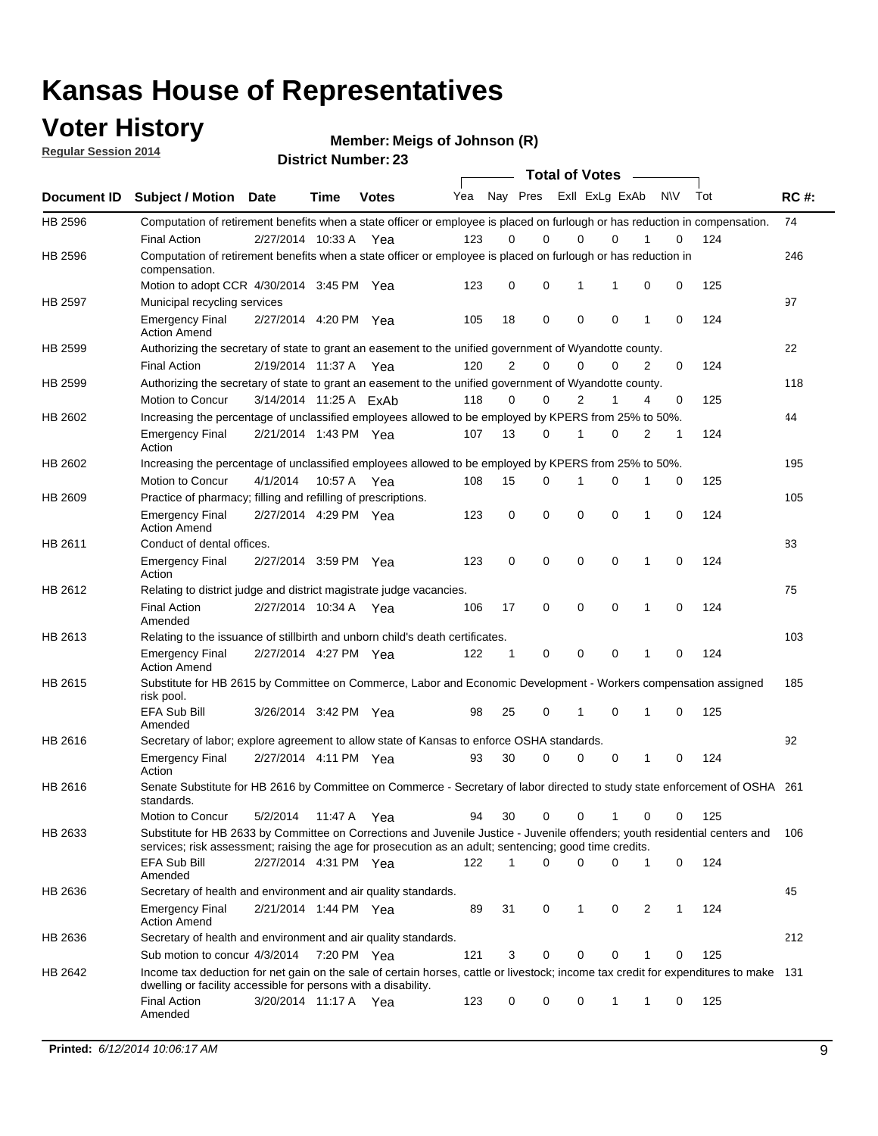### **Voter History**

**Regular Session 2014**

**Member: Meigs of Johnson (R)** 

| Document ID<br>HB 2596<br>HB 2596 | <b>Subject / Motion</b><br>Computation of retirement benefits when a state officer or employee is placed on furlough or has reduction in compensation.<br><b>Final Action</b><br>Computation of retirement benefits when a state officer or employee is placed on furlough or has reduction in | <b>Date</b>            | Time        | <b>Votes</b> | Yea |                | Nay Pres    | <b>Total of Votes</b> |             | Exll ExLg ExAb | <b>NV</b> |   |     |             |
|-----------------------------------|------------------------------------------------------------------------------------------------------------------------------------------------------------------------------------------------------------------------------------------------------------------------------------------------|------------------------|-------------|--------------|-----|----------------|-------------|-----------------------|-------------|----------------|-----------|---|-----|-------------|
|                                   |                                                                                                                                                                                                                                                                                                |                        |             |              |     |                |             |                       |             |                |           |   | Tot | <b>RC#:</b> |
|                                   |                                                                                                                                                                                                                                                                                                |                        |             |              |     |                |             |                       |             |                |           |   |     | 74          |
|                                   |                                                                                                                                                                                                                                                                                                | 2/27/2014 10:33 A      |             | Yea          | 123 | 0              | $\Omega$    |                       | 0           | $\Omega$       |           | 0 | 124 |             |
|                                   | compensation.                                                                                                                                                                                                                                                                                  |                        |             |              |     |                |             |                       |             |                |           |   |     | 246         |
|                                   | Motion to adopt CCR 4/30/2014 3:45 PM Yea                                                                                                                                                                                                                                                      |                        |             |              | 123 | 0              | 0           |                       | 1           | 1              | 0         | 0 | 125 |             |
| <b>HB 2597</b>                    | Municipal recycling services                                                                                                                                                                                                                                                                   |                        |             |              |     |                |             |                       |             |                |           |   |     | 97          |
|                                   | <b>Emergency Final</b><br><b>Action Amend</b>                                                                                                                                                                                                                                                  | 2/27/2014 4:20 PM Yea  |             |              | 105 | 18             | $\mathbf 0$ |                       | $\mathbf 0$ | $\mathbf 0$    | 1         | 0 | 124 |             |
| HB 2599                           | Authorizing the secretary of state to grant an easement to the unified government of Wyandotte county.                                                                                                                                                                                         |                        |             |              |     |                |             |                       |             |                |           |   |     | 22          |
|                                   | <b>Final Action</b>                                                                                                                                                                                                                                                                            | 2/19/2014 11:37 A      |             | Yea          | 120 | $\overline{2}$ | $\mathbf 0$ |                       | 0           | $\Omega$       | 2         | 0 | 124 |             |
| HB 2599                           | Authorizing the secretary of state to grant an easement to the unified government of Wyandotte county.                                                                                                                                                                                         |                        |             |              |     |                |             |                       |             |                |           |   |     | 118         |
|                                   | Motion to Concur                                                                                                                                                                                                                                                                               | 3/14/2014 11:25 A ExAb |             |              | 118 | $\Omega$       | 0           |                       | 2           | 1              | 4         | 0 | 125 |             |
| HB 2602                           | Increasing the percentage of unclassified employees allowed to be employed by KPERS from 25% to 50%.                                                                                                                                                                                           |                        |             |              |     |                |             |                       |             |                |           |   |     | 44          |
|                                   | <b>Emergency Final</b><br>Action                                                                                                                                                                                                                                                               | 2/21/2014 1:43 PM Yea  |             |              | 107 | 13             | 0           |                       | 1           | $\Omega$       | 2         | 1 | 124 |             |
| HB 2602                           | Increasing the percentage of unclassified employees allowed to be employed by KPERS from 25% to 50%.                                                                                                                                                                                           |                        |             |              |     |                |             |                       |             |                |           |   |     | 195         |
|                                   | Motion to Concur                                                                                                                                                                                                                                                                               | 4/1/2014               | 10:57 A Yea |              | 108 | 15             | 0           | 1                     |             | 0              | 1         | 0 | 125 |             |
| HB 2609                           | Practice of pharmacy; filling and refilling of prescriptions.                                                                                                                                                                                                                                  |                        |             |              |     |                |             |                       |             |                |           |   |     | 105         |
|                                   | <b>Emergency Final</b><br><b>Action Amend</b>                                                                                                                                                                                                                                                  | 2/27/2014 4:29 PM Yea  |             |              | 123 | 0              | $\mathbf 0$ |                       | $\mathbf 0$ | $\Omega$       | 1         | 0 | 124 |             |
| HB 2611                           | Conduct of dental offices.                                                                                                                                                                                                                                                                     |                        |             |              |     |                |             |                       |             |                |           |   |     | 83          |
|                                   | <b>Emergency Final</b><br>Action                                                                                                                                                                                                                                                               | 2/27/2014 3:59 PM Yea  |             |              | 123 | 0              | $\mathbf 0$ |                       | $\mathbf 0$ | $\mathbf 0$    | 1         | 0 | 124 |             |
| HB 2612                           | Relating to district judge and district magistrate judge vacancies.                                                                                                                                                                                                                            |                        |             |              |     |                |             |                       |             |                |           |   |     | 75          |
|                                   | <b>Final Action</b><br>Amended                                                                                                                                                                                                                                                                 | 2/27/2014 10:34 A      |             | Yea          | 106 | 17             | 0           |                       | $\mathbf 0$ | $\mathbf 0$    | 1         | 0 | 124 |             |
| HB 2613                           | Relating to the issuance of stillbirth and unborn child's death certificates.                                                                                                                                                                                                                  |                        |             |              |     |                |             |                       |             |                |           |   |     | 103         |
|                                   | <b>Emergency Final</b><br><b>Action Amend</b>                                                                                                                                                                                                                                                  | 2/27/2014 4:27 PM Yea  |             |              | 122 | 1              | 0           |                       | $\mathbf 0$ | $\Omega$       | 1         | 0 | 124 |             |
| HB 2615                           | Substitute for HB 2615 by Committee on Commerce, Labor and Economic Development - Workers compensation assigned<br>risk pool.                                                                                                                                                                  |                        |             |              |     |                |             |                       |             |                |           |   |     | 185         |
|                                   | EFA Sub Bill<br>Amended                                                                                                                                                                                                                                                                        | 3/26/2014 3:42 PM Yea  |             |              | 98  | 25             | 0           |                       | 1           | $\mathbf 0$    | 1         | 0 | 125 |             |
| HB 2616                           | Secretary of labor; explore agreement to allow state of Kansas to enforce OSHA standards.                                                                                                                                                                                                      |                        |             |              |     |                |             |                       |             |                |           |   |     | 92          |
|                                   | <b>Emergency Final</b><br>Action                                                                                                                                                                                                                                                               | 2/27/2014 4:11 PM Yea  |             |              | 93  | 30             | 0           |                       | 0           | 0              | 1         | 0 | 124 |             |
| HB 2616                           | Senate Substitute for HB 2616 by Committee on Commerce - Secretary of labor directed to study state enforcement of OSHA 261<br>standards.                                                                                                                                                      |                        |             |              |     |                |             |                       |             |                |           |   |     |             |
|                                   | Motion to Concur                                                                                                                                                                                                                                                                               | 5/2/2014               | 11:47 A Yea |              | 94  | 30             | 0           |                       | 0           | 1              | 0         | 0 | 125 |             |
| HB 2633                           | Substitute for HB 2633 by Committee on Corrections and Juvenile Justice - Juvenile offenders; youth residential centers and<br>services; risk assessment; raising the age for prosecution as an adult; sentencing; good time credits.                                                          |                        |             |              |     |                |             |                       |             |                |           |   |     | 106         |
|                                   | EFA Sub Bill<br>Amended                                                                                                                                                                                                                                                                        | 2/27/2014 4:31 PM Yea  |             |              | 122 | 1              | 0           |                       | $\mathbf 0$ | 0              | 1         | 0 | 124 |             |
| HB 2636                           | Secretary of health and environment and air quality standards.                                                                                                                                                                                                                                 |                        |             |              |     |                |             |                       |             |                |           |   |     | 45          |
|                                   | <b>Emergency Final</b><br><b>Action Amend</b>                                                                                                                                                                                                                                                  | 2/21/2014 1:44 PM Yea  |             |              | 89  | 31             | 0           |                       | 1           | 0              | 2         | 1 | 124 |             |
| HB 2636                           | Secretary of health and environment and air quality standards.                                                                                                                                                                                                                                 |                        |             |              |     |                |             |                       |             |                |           |   |     | 212         |
|                                   | Sub motion to concur 4/3/2014                                                                                                                                                                                                                                                                  |                        | 7:20 PM Yea |              | 121 | 3              | 0           |                       | 0           | 0              |           | 0 | 125 |             |
| HB 2642                           | Income tax deduction for net gain on the sale of certain horses, cattle or livestock; income tax credit for expenditures to make 131<br>dwelling or facility accessible for persons with a disability.                                                                                         |                        |             |              |     |                |             |                       |             |                |           |   |     |             |
|                                   | <b>Final Action</b><br>Amended                                                                                                                                                                                                                                                                 | 3/20/2014 11:17 A Yea  |             |              | 123 | 0              | 0           |                       | 0           | 1              | 1         | 0 | 125 |             |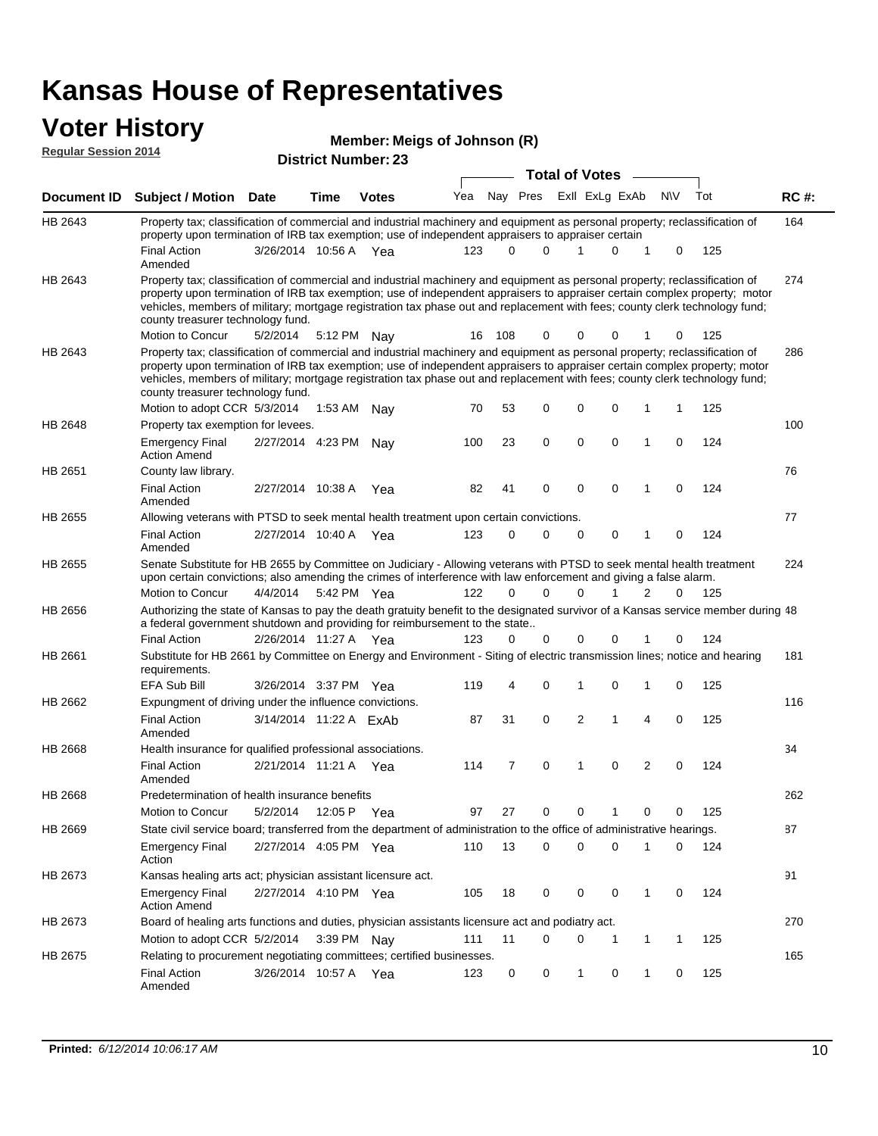# **Voter History**<br>**Regular Session 2014**

| , , , , , , , , , , ,<br>Member: Meigs of Johnson (R) |                                                                                                                                                                                                                                                                                                                                                                                                                               |                       |         |                            |     |          |          |                       |   |                |   |           |     |             |
|-------------------------------------------------------|-------------------------------------------------------------------------------------------------------------------------------------------------------------------------------------------------------------------------------------------------------------------------------------------------------------------------------------------------------------------------------------------------------------------------------|-----------------------|---------|----------------------------|-----|----------|----------|-----------------------|---|----------------|---|-----------|-----|-------------|
| <b>Regular Session 2014</b>                           |                                                                                                                                                                                                                                                                                                                                                                                                                               |                       |         | <b>District Number: 23</b> |     |          |          |                       |   |                |   |           |     |             |
|                                                       |                                                                                                                                                                                                                                                                                                                                                                                                                               |                       |         |                            |     |          |          | <b>Total of Votes</b> |   |                |   |           |     |             |
| Document ID                                           | <b>Subject / Motion Date</b>                                                                                                                                                                                                                                                                                                                                                                                                  |                       | Time    | <b>Votes</b>               | Yea |          | Nay Pres |                       |   | Exll ExLg ExAb |   | <b>NV</b> | Tot | <b>RC#:</b> |
| HB 2643                                               | Property tax; classification of commercial and industrial machinery and equipment as personal property; reclassification of<br>property upon termination of IRB tax exemption; use of independent appraisers to appraiser certain                                                                                                                                                                                             |                       |         |                            |     |          |          |                       |   |                |   |           |     | 164         |
|                                                       | <b>Final Action</b><br>Amended                                                                                                                                                                                                                                                                                                                                                                                                | 3/26/2014 10:56 A Yea |         |                            | 123 | $\Omega$ | $\Omega$ |                       |   | $\Omega$       | 1 | $\Omega$  | 125 |             |
| HB 2643                                               | Property tax; classification of commercial and industrial machinery and equipment as personal property; reclassification of<br>property upon termination of IRB tax exemption; use of independent appraisers to appraiser certain complex property; motor<br>vehicles, members of military; mortgage registration tax phase out and replacement with fees; county clerk technology fund;<br>county treasurer technology fund. |                       |         |                            |     |          |          |                       |   |                |   |           |     | 274         |
|                                                       | Motion to Concur                                                                                                                                                                                                                                                                                                                                                                                                              | 5/2/2014              | 5:12 PM | Nay                        | 16  | 108      | 0        |                       | 0 | 0              |   | 0         | 125 |             |
| HB 2643                                               | Property tax; classification of commercial and industrial machinery and equipment as personal property; reclassification of<br>property upon termination of IRB tax exemption; use of independent appraisers to appraiser certain complex property; motor<br>vehicles, members of military; mortgage registration tax phase out and replacement with fees; county clerk technology fund;<br>county treasurer technology fund. |                       |         |                            |     |          |          |                       |   |                |   |           |     | 286         |
|                                                       | Motion to adopt CCR 5/3/2014                                                                                                                                                                                                                                                                                                                                                                                                  |                       | 1:53 AM | Nay                        | 70  | 53       | 0        |                       | 0 | $\Omega$       | 1 | 1         | 125 |             |
| HB 2648                                               | Property tax exemption for levees.                                                                                                                                                                                                                                                                                                                                                                                            |                       |         |                            |     |          |          |                       |   |                |   |           |     | 100         |
|                                                       | <b>Emergency Final</b><br><b>Action Amend</b>                                                                                                                                                                                                                                                                                                                                                                                 | 2/27/2014 4:23 PM     |         | Nav                        | 100 | 23       | $\Omega$ |                       | 0 | $\Omega$       | 1 | $\Omega$  | 124 |             |
| HB 2651                                               | County law library.                                                                                                                                                                                                                                                                                                                                                                                                           |                       |         |                            |     |          |          |                       |   |                |   |           |     | 76          |
|                                                       | <b>Final Action</b><br>Amended                                                                                                                                                                                                                                                                                                                                                                                                | 2/27/2014 10:38 A     |         | Yea                        | 82  | 41       | $\Omega$ |                       | 0 | 0              | 1 | 0         | 124 |             |
| HB 2655                                               | Allowing veterans with PTSD to seek mental health treatment upon certain convictions.                                                                                                                                                                                                                                                                                                                                         |                       |         |                            |     |          |          |                       |   |                |   |           |     | 77          |

|         | <b>Final Action</b><br>Amended                                                                                                                                                                                                             | 2/27/2014              | 10:40 A     | Yea | 123 | 0  | $\Omega$ | $\Omega$      | $\Omega$ |   | 0        | 124 |     |
|---------|--------------------------------------------------------------------------------------------------------------------------------------------------------------------------------------------------------------------------------------------|------------------------|-------------|-----|-----|----|----------|---------------|----------|---|----------|-----|-----|
| HB 2655 | Senate Substitute for HB 2655 by Committee on Judiciary - Allowing veterans with PTSD to seek mental health treatment<br>upon certain convictions; also amending the crimes of interference with law enforcement and giving a false alarm. |                        |             |     |     |    |          |               |          |   |          |     | 224 |
|         | Motion to Concur                                                                                                                                                                                                                           | 4/4/2014               | 5:42 PM Yea |     | 122 | 0  | $\Omega$ | $\Omega$      |          | 2 | 0        | 125 |     |
| HB 2656 | Authorizing the state of Kansas to pay the death gratuity benefit to the designated survivor of a Kansas service member during 48<br>a federal government shutdown and providing for reimbursement to the state                            |                        |             |     |     |    |          |               |          |   |          |     |     |
|         | Final Action                                                                                                                                                                                                                               | 2/26/2014 11:27 A      |             | Yea | 123 | 0  | 0        | $\Omega$      | 0        |   | 0        | 124 |     |
| HB 2661 | Substitute for HB 2661 by Committee on Energy and Environment - Siting of electric transmission lines; notice and hearing<br>requirements.                                                                                                 |                        |             |     |     |    |          |               |          |   |          |     | 181 |
|         | EFA Sub Bill                                                                                                                                                                                                                               | 3/26/2014 3:37 PM Yea  |             |     | 119 | 4  | $\Omega$ |               | $\Omega$ |   | $\Omega$ | 125 |     |
| HB 2662 | Expungment of driving under the influence convictions.                                                                                                                                                                                     |                        |             |     |     |    |          |               |          |   |          |     | 116 |
|         | Final Action<br>Amended                                                                                                                                                                                                                    | 3/14/2014 11:22 A ExAb |             |     | 87  | 31 | $\Omega$ | $\mathcal{P}$ |          | 4 | $\Omega$ | 125 |     |
| HB 2668 | Health insurance for qualified professional associations.                                                                                                                                                                                  |                        |             |     |     |    |          |               |          |   |          |     | 34  |
|         | Final Action<br>Amended                                                                                                                                                                                                                    | 2/21/2014 11:21 A      |             | Yea | 114 |    | $\Omega$ | 1             | $\Omega$ | 2 | $\Omega$ | 124 |     |

262 Motion to Concur 5/2/2014 12:05 P Yea 97 27 0 0 1 0 0 125 HB 2668 Predetermination of health insurance benefits 87 2/27/2014 Emergency Final Yea 124 4:05 PM 110 13 0 0 10 0 HB 2669 Action State civil service board; transferred from the department of administration to the office of administrative hearings. 91 Emergency Final 2/27/2014 4:10 PM Yea 405 18 0 0 0 1 0 124 HB 2673 Action Amend Kansas healing arts act; physician assistant licensure act. 270 Motion to adopt CCR 5/2/2014 3:39 PM Nay 111 11 0 0 1 1 1 1 125 HB 2673 Board of healing arts functions and duties, physician assistants licensure act and podiatry act. 165 Final Action 3/26/2014 10:57 A Yea 123 0 0 1 0 125 HB 2675 Amended Relating to procurement negotiating committees; certified businesses.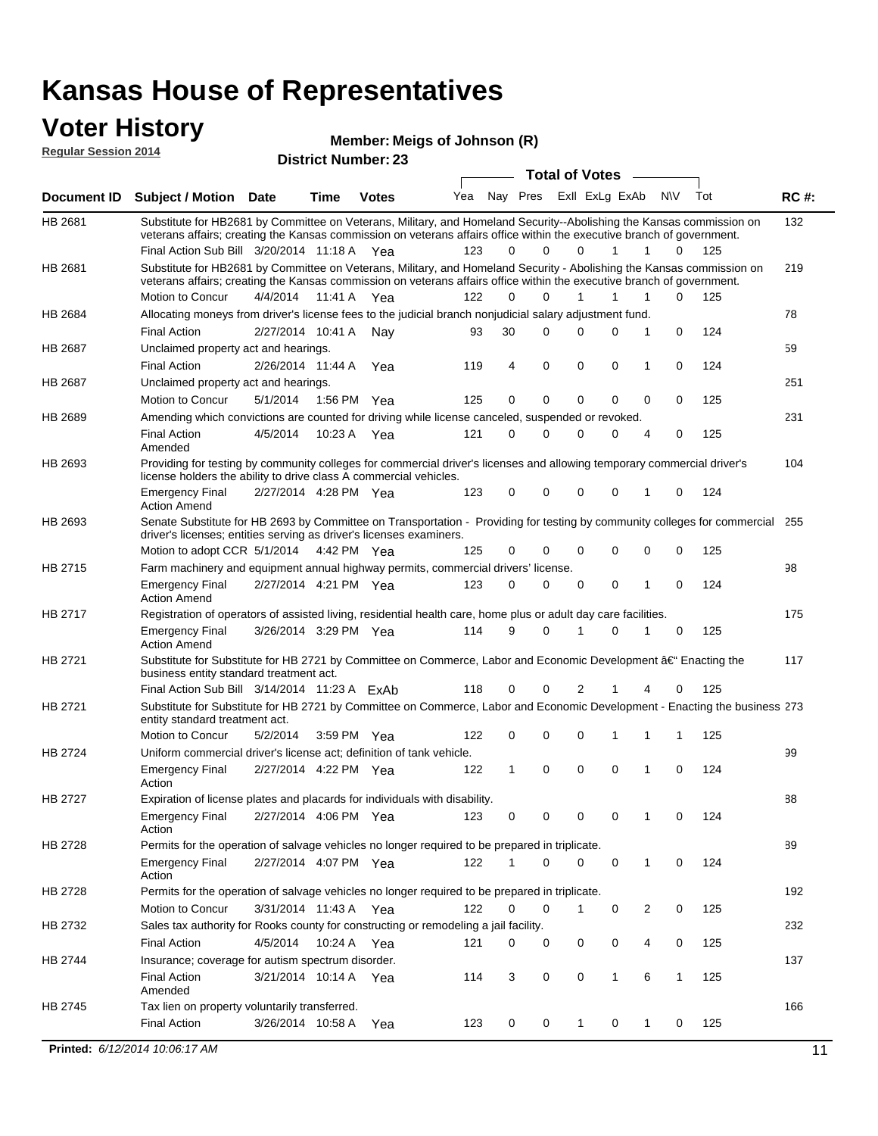#### **Voter History Regular Session 2014**

**Member: Meigs of Johnson (R)** 

| noguidi ocoololi 4017 |                                                                                                                                                                                                                                                                                               |                       | <b>District Number: 23</b> |              |     |    |             |                         |              |                   |                    |             |
|-----------------------|-----------------------------------------------------------------------------------------------------------------------------------------------------------------------------------------------------------------------------------------------------------------------------------------------|-----------------------|----------------------------|--------------|-----|----|-------------|-------------------------|--------------|-------------------|--------------------|-------------|
|                       |                                                                                                                                                                                                                                                                                               |                       |                            |              |     |    |             | <b>Total of Votes</b>   |              |                   |                    |             |
| <b>Document ID</b>    | <b>Subject / Motion Date</b>                                                                                                                                                                                                                                                                  |                       | <b>Time</b>                | <b>Votes</b> | Yea |    |             | Nay Pres Exll ExLg ExAb |              | N\V               | Tot                | <b>RC#:</b> |
| HB 2681               | Substitute for HB2681 by Committee on Veterans, Military, and Homeland Security--Abolishing the Kansas commission on<br>veterans affairs; creating the Kansas commission on veterans affairs office within the executive branch of government.<br>Final Action Sub Bill 3/20/2014 11:18 A Yea |                       |                            |              | 123 | 0  | $\Omega$    | $\Omega$                | 1            | 1                 | 125<br>$\Omega$    | 132         |
| HB 2681               | Substitute for HB2681 by Committee on Veterans, Military, and Homeland Security - Abolishing the Kansas commission on<br>veterans affairs; creating the Kansas commission on veterans affairs office within the executive branch of government.                                               |                       |                            |              |     |    |             |                         |              |                   |                    | 219         |
|                       | Motion to Concur                                                                                                                                                                                                                                                                              | 4/4/2014              |                            | 11:41 A Yea  | 122 | 0  | $\Omega$    | 1                       | 1            | 1                 | $\Omega$<br>125    |             |
| HB 2684               | Allocating moneys from driver's license fees to the judicial branch nonjudicial salary adjustment fund.                                                                                                                                                                                       |                       |                            |              |     |    |             |                         |              |                   |                    | 78          |
|                       | <b>Final Action</b>                                                                                                                                                                                                                                                                           | 2/27/2014 10:41 A     |                            | Nav          | 93  | 30 | $\Omega$    | $\Omega$                | 0            | 1                 | $\mathbf 0$<br>124 |             |
| HB 2687               | Unclaimed property act and hearings.                                                                                                                                                                                                                                                          |                       |                            |              |     |    |             |                         |              |                   |                    | 59          |
|                       | <b>Final Action</b>                                                                                                                                                                                                                                                                           | 2/26/2014 11:44 A     |                            | Yea          | 119 | 4  | $\mathbf 0$ | 0                       | $\mathbf 0$  | 1                 | 0<br>124           |             |
| HB 2687               | Unclaimed property act and hearings.                                                                                                                                                                                                                                                          |                       |                            |              |     |    |             |                         |              |                   | 251                |             |
|                       | Motion to Concur                                                                                                                                                                                                                                                                              | 5/1/2014              |                            | 1:56 PM Yea  | 125 | 0  | 0           | 0                       | 0            | 0                 | 0<br>125           |             |
| HB 2689               | Amending which convictions are counted for driving while license canceled, suspended or revoked.                                                                                                                                                                                              |                       |                            |              |     |    |             |                         |              |                   |                    | 231         |
|                       | <b>Final Action</b><br>Amended                                                                                                                                                                                                                                                                | 4/5/2014              | 10:23 A                    | Yea          | 121 | 0  | $\Omega$    | $\Omega$                | 0            | $\overline{4}$    | 125<br>0           |             |
| HB 2693               | Providing for testing by community colleges for commercial driver's licenses and allowing temporary commercial driver's<br>license holders the ability to drive class A commercial vehicles.                                                                                                  |                       |                            |              |     |    |             |                         |              |                   |                    |             |
|                       | <b>Emergency Final</b><br><b>Action Amend</b>                                                                                                                                                                                                                                                 | 2/27/2014 4:28 PM Yea |                            |              | 123 | 0  | 0           | $\Omega$                | 0            | 1                 | 0<br>124           |             |
| HB 2693               | Senate Substitute for HB 2693 by Committee on Transportation - Providing for testing by community colleges for commercial 255<br>driver's licenses; entities serving as driver's licenses examiners.                                                                                          |                       |                            |              |     |    |             |                         |              |                   |                    |             |
|                       | Motion to adopt CCR 5/1/2014 4:42 PM Yea                                                                                                                                                                                                                                                      |                       |                            |              | 125 | 0  | 0           | 0                       | 0            | 0                 | 0<br>125           |             |
| HB 2715               | Farm machinery and equipment annual highway permits, commercial drivers' license.<br><b>Emergency Final</b>                                                                                                                                                                                   | 2/27/2014 4:21 PM Yea |                            |              | 123 | 0  | 0           | 0                       | 0            | $\mathbf 0$<br>1  | 124                | 98          |
|                       | <b>Action Amend</b>                                                                                                                                                                                                                                                                           |                       |                            |              |     |    |             |                         |              |                   |                    |             |
| HB 2717               | Registration of operators of assisted living, residential health care, home plus or adult day care facilities.                                                                                                                                                                                |                       |                            |              |     |    |             |                         |              |                   |                    | 175         |
|                       | <b>Emergency Final</b><br><b>Action Amend</b>                                                                                                                                                                                                                                                 | 3/26/2014 3:29 PM Yea |                            |              | 114 | 9  | $\Omega$    | 1                       | 0            | 0<br>1            | 125                |             |
| HB 2721               | Substitute for Substitute for HB 2721 by Committee on Commerce, Labor and Economic Development †Enacting the<br>business entity standard treatment act.                                                                                                                                       |                       |                            |              |     |    |             |                         |              |                   |                    | 117         |
|                       | Final Action Sub Bill 3/14/2014 11:23 A ExAb                                                                                                                                                                                                                                                  |                       |                            |              | 118 | 0  | $\Omega$    | 2                       |              |                   | 0<br>125           |             |
| HB 2721               | Substitute for Substitute for HB 2721 by Committee on Commerce, Labor and Economic Development - Enacting the business 273<br>entity standard treatment act.                                                                                                                                  |                       |                            |              |     |    |             |                         |              |                   |                    |             |
|                       | Motion to Concur                                                                                                                                                                                                                                                                              | 5/2/2014              |                            | 3:59 PM Yea  | 122 | 0  | 0           | 0                       | 1            | 1<br>1            | 125                |             |
| <b>HB 2724</b>        | Uniform commercial driver's license act; definition of tank vehicle.<br><b>Emergency Final</b>                                                                                                                                                                                                | 2/27/2014 4:22 PM Yea |                            |              | 122 | 1  | 0           | 0                       | 0            | 0<br>1            | 124                | 99          |
|                       | Action                                                                                                                                                                                                                                                                                        |                       |                            |              |     |    |             |                         |              |                   |                    |             |
| HB 2727               | Expiration of license plates and placards for individuals with disability.                                                                                                                                                                                                                    |                       |                            |              |     |    |             |                         |              |                   |                    | 88          |
|                       | <b>Emergency Final</b><br>Action                                                                                                                                                                                                                                                              | 2/27/2014 4:06 PM Yea |                            |              | 123 | 0  | 0           | 0                       | 0            | 1                 | 124<br>0           |             |
| HB 2728               | Permits for the operation of salvage vehicles no longer required to be prepared in triplicate.                                                                                                                                                                                                |                       |                            |              |     |    |             |                         |              |                   |                    | 89          |
|                       | <b>Emergency Final</b><br>Action                                                                                                                                                                                                                                                              | 2/27/2014 4:07 PM Yea |                            |              | 122 |    | 0           | 0                       | 0            | 1                 | 0<br>124           |             |
| HB 2728               | Permits for the operation of salvage vehicles no longer required to be prepared in triplicate.                                                                                                                                                                                                |                       |                            |              |     |    |             |                         |              |                   |                    | 192         |
|                       | Motion to Concur                                                                                                                                                                                                                                                                              | 3/31/2014 11:43 A Yea |                            |              | 122 | 0  | 0           | 1                       | 0            | 2                 | 0<br>125           |             |
| HB 2732               | Sales tax authority for Rooks county for constructing or remodeling a jail facility.                                                                                                                                                                                                          |                       |                            |              |     |    |             |                         |              |                   |                    | 232         |
|                       | <b>Final Action</b>                                                                                                                                                                                                                                                                           | 4/5/2014              |                            | 10:24 A Yea  | 121 | 0  | 0           | 0                       | 0            | 4                 | 0<br>125           |             |
| HB 2744               | Insurance; coverage for autism spectrum disorder.                                                                                                                                                                                                                                             |                       |                            |              |     |    |             |                         |              |                   |                    | 137         |
|                       | <b>Final Action</b><br>Amended                                                                                                                                                                                                                                                                | 3/21/2014 10:14 A Yea |                            |              | 114 | 3  | 0           | 0                       | $\mathbf{1}$ | 6<br>$\mathbf{1}$ | 125                |             |
| HB 2745               | Tax lien on property voluntarily transferred.                                                                                                                                                                                                                                                 |                       |                            |              |     |    |             |                         |              |                   |                    | 166         |
|                       | <b>Final Action</b>                                                                                                                                                                                                                                                                           | 3/26/2014 10:58 A     |                            | Yea          | 123 | 0  | 0           | 1                       | 0            | 1                 | 125<br>0           |             |
|                       | Printed: 6/12/2014 10:06:17 AM                                                                                                                                                                                                                                                                |                       |                            |              |     |    |             |                         |              |                   |                    | 11          |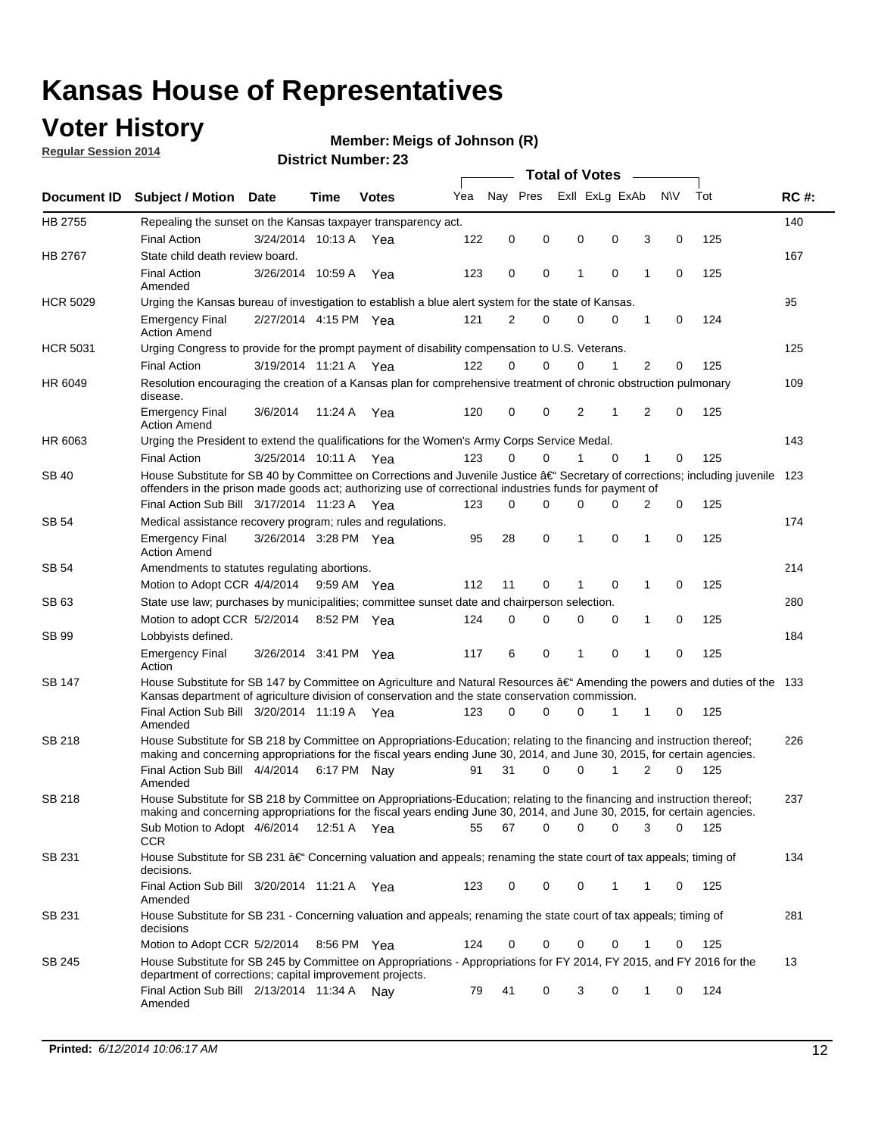### **Voter History**

**Regular Session 2014**

#### **Member: Meigs of Johnson (R)**

|                    |                                                                                                                                                                                                                                      |                       |             |              | <b>Total of Votes</b> |             |          |   |                |          |           |             |     |             |
|--------------------|--------------------------------------------------------------------------------------------------------------------------------------------------------------------------------------------------------------------------------------|-----------------------|-------------|--------------|-----------------------|-------------|----------|---|----------------|----------|-----------|-------------|-----|-------------|
| <b>Document ID</b> | <b>Subject / Motion</b>                                                                                                                                                                                                              | <b>Date</b>           | Time        | <b>Votes</b> | Yea                   | Nay Pres    |          |   | Exll ExLg ExAb |          | <b>NV</b> |             | Tot | <b>RC#:</b> |
| HB 2755            | Repealing the sunset on the Kansas taxpayer transparency act.                                                                                                                                                                        |                       |             |              |                       |             |          |   |                |          |           |             |     | 140         |
|                    | <b>Final Action</b>                                                                                                                                                                                                                  | 3/24/2014 10:13 A     |             | Yea          | 122                   | 0           | 0        | 0 |                | 0        | 3         | 0           | 125 |             |
| HB 2767            | State child death review board.                                                                                                                                                                                                      |                       |             |              |                       |             |          |   |                |          |           |             |     | 167         |
|                    | <b>Final Action</b><br>Amended                                                                                                                                                                                                       | 3/26/2014 10:59 A     |             | Yea          | 123                   | $\mathbf 0$ | 0        | 1 |                | 0        | 1         | 0           | 125 |             |
| <b>HCR 5029</b>    | Urging the Kansas bureau of investigation to establish a blue alert system for the state of Kansas.                                                                                                                                  |                       |             |              |                       |             |          |   |                |          |           |             |     | 95          |
|                    | <b>Emergency Final</b><br><b>Action Amend</b>                                                                                                                                                                                        | 2/27/2014 4:15 PM Yea |             |              | 121                   | 2           | 0        | 0 |                | 0        | 1         | 0           | 124 |             |
| <b>HCR 5031</b>    | Urging Congress to provide for the prompt payment of disability compensation to U.S. Veterans.                                                                                                                                       |                       |             |              |                       |             |          |   |                |          |           |             |     | 125         |
|                    | <b>Final Action</b>                                                                                                                                                                                                                  | 3/19/2014 11:21 A Yea |             |              | 122                   | $\Omega$    | 0        | 0 |                | 1        | 2         | 0           | 125 |             |
| HR 6049            | Resolution encouraging the creation of a Kansas plan for comprehensive treatment of chronic obstruction pulmonary<br>disease.                                                                                                        |                       |             |              |                       |             |          |   |                |          |           |             |     | 109         |
|                    | <b>Emergency Final</b><br><b>Action Amend</b>                                                                                                                                                                                        | 3/6/2014              | 11:24 A     | Yea          | 120                   | 0           | 0        | 2 |                | 1        | 2         | 0           | 125 |             |
| HR 6063            | Urging the President to extend the qualifications for the Women's Army Corps Service Medal.                                                                                                                                          |                       |             |              |                       |             |          |   |                |          |           |             |     | 143         |
|                    | <b>Final Action</b>                                                                                                                                                                                                                  | 3/25/2014 10:11 A Yea |             |              | 123                   | $\Omega$    | $\Omega$ | 1 |                | $\Omega$ | 1         | 0           | 125 |             |
| SB 40              | House Substitute for SB 40 by Committee on Corrections and Juvenile Justice †Secretary of corrections; including juvenile<br>offenders in the prison made goods act; authorizing use of correctional industries funds for payment of |                       |             |              |                       |             |          |   |                |          |           | 123         |     |             |
|                    | Final Action Sub Bill 3/17/2014 11:23 A Yea                                                                                                                                                                                          |                       |             |              | 123                   | 0           | 0        | 0 |                | 0        | 2         | 0           | 125 |             |
| SB 54              | Medical assistance recovery program; rules and regulations.                                                                                                                                                                          |                       |             |              |                       |             |          |   |                |          |           |             |     | 174         |
|                    | <b>Emergency Final</b><br><b>Action Amend</b>                                                                                                                                                                                        | 3/26/2014 3:28 PM Yea |             |              | 95                    | 28          | 0        | 1 |                | 0        | 1         | $\mathbf 0$ | 125 |             |
| <b>SB 54</b>       | Amendments to statutes regulating abortions.                                                                                                                                                                                         |                       |             |              |                       |             |          |   |                |          |           |             |     | 214         |
|                    | Motion to Adopt CCR 4/4/2014                                                                                                                                                                                                         |                       | 9:59 AM Yea |              | 112                   | 11          | 0        | 1 |                | 0        | 1         | 0           | 125 |             |
| SB 63              | State use law; purchases by municipalities; committee sunset date and chairperson selection.                                                                                                                                         |                       |             |              |                       |             |          |   |                |          |           |             |     | 280         |
|                    | Motion to adopt CCR 5/2/2014                                                                                                                                                                                                         |                       | 8:52 PM Yea |              | 124                   | $\mathbf 0$ | 0        | 0 |                | 0        | 1         | 0           | 125 |             |
| <b>SB 99</b>       | Lobbyists defined.                                                                                                                                                                                                                   |                       |             |              |                       |             |          |   |                |          |           |             |     | 184         |
|                    | <b>Emergency Final</b><br>Action                                                                                                                                                                                                     | 3/26/2014 3:41 PM Yea |             |              | 117                   | 6           | 0        | 1 |                | 0        | 1         | 0           | 125 |             |
| SB 147             | House Substitute for SB 147 by Committee on Agriculture and Natural Resources †Amending the powers and duties of the 133<br>Kansas department of agriculture division of conservation and the state conservation commission.         |                       |             |              |                       |             |          |   |                |          |           |             |     |             |
|                    | Final Action Sub Bill 3/20/2014 11:19 A Yea<br>Amended                                                                                                                                                                               |                       |             |              | 123                   | 0           | 0        | 0 |                | 1        | 1         | 0           | 125 |             |
| SB 218             | House Substitute for SB 218 by Committee on Appropriations-Education; relating to the financing and instruction thereof;                                                                                                             |                       |             |              |                       |             |          |   |                |          |           |             |     | 226         |
|                    | making and concerning appropriations for the fiscal years ending June 30, 2014, and June 30, 2015, for certain agencies.<br>Final Action Sub Bill 4/4/2014 6:17 PM Nay                                                               |                       |             |              | 91                    | 31          | 0        | 0 |                | 1        | 2         | 0           | 125 |             |
|                    | Amended                                                                                                                                                                                                                              |                       |             |              |                       |             |          |   |                |          |           |             |     |             |
| SB 218             | House Substitute for SB 218 by Committee on Appropriations-Education; relating to the financing and instruction thereof;                                                                                                             |                       |             |              |                       |             |          |   |                |          |           |             |     | 237         |
|                    | making and concerning appropriations for the fiscal years ending June 30, 2014, and June 30, 2015, for certain agencies.                                                                                                             |                       |             |              |                       |             |          |   |                |          |           |             |     |             |
|                    | Sub Motion to Adopt 4/6/2014 12:51 A Yea<br><b>CCR</b>                                                                                                                                                                               |                       |             |              | 55                    | 67          | 0        | 0 |                | 0        | 3         | 0           | 125 |             |
| SB 231             | House Substitute for SB 231 †Concerning valuation and appeals; renaming the state court of tax appeals; timing of<br>decisions.                                                                                                      |                       |             |              |                       |             |          |   |                |          |           |             |     | 134         |
|                    | Final Action Sub Bill 3/20/2014 11:21 A Yea<br>Amended                                                                                                                                                                               |                       |             |              | 123                   | 0           | 0        | 0 |                | 1        | 1         | 0           | 125 |             |
| SB 231             | House Substitute for SB 231 - Concerning valuation and appeals; renaming the state court of tax appeals; timing of<br>decisions                                                                                                      |                       |             |              |                       |             |          |   |                |          |           |             |     | 281         |
|                    | Motion to Adopt CCR 5/2/2014 8:56 PM Yea                                                                                                                                                                                             |                       |             |              | 124                   | 0           | 0        | 0 |                | 0        | 1         | 0           | 125 |             |
| SB 245             | House Substitute for SB 245 by Committee on Appropriations - Appropriations for FY 2014, FY 2015, and FY 2016 for the<br>department of corrections; capital improvement projects.                                                    |                       |             |              |                       |             |          |   |                |          |           |             |     | 13          |
|                    | Final Action Sub Bill 2/13/2014 11:34 A Nay<br>Amended                                                                                                                                                                               |                       |             |              | 79                    | 41          | 0        | 3 |                | 0        | 1         | 0           | 124 |             |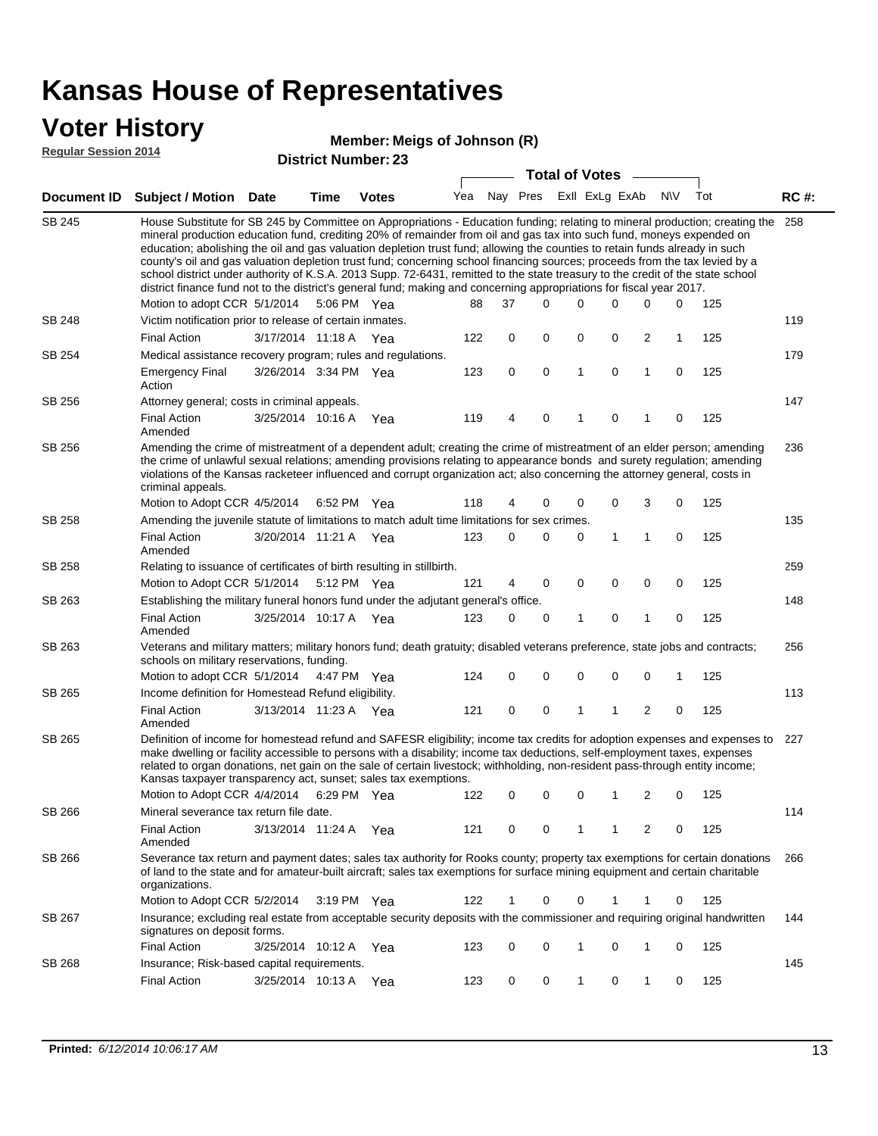### **Voter History**

#### **Member: Meigs of Johnson (R)**

**Regular Session 2014**

|               |                                                                                                                                                                                                                                                                                                                                                                                                                                                                                                                                                                                                                                                                                                                                                                                                               |                       |      | DISTILICI NUITIDEL. ZJ |     |             |  |             | <b>Total of Votes</b>   |             |              |             |     |             |
|---------------|---------------------------------------------------------------------------------------------------------------------------------------------------------------------------------------------------------------------------------------------------------------------------------------------------------------------------------------------------------------------------------------------------------------------------------------------------------------------------------------------------------------------------------------------------------------------------------------------------------------------------------------------------------------------------------------------------------------------------------------------------------------------------------------------------------------|-----------------------|------|------------------------|-----|-------------|--|-------------|-------------------------|-------------|--------------|-------------|-----|-------------|
|               | Document ID Subject / Motion Date                                                                                                                                                                                                                                                                                                                                                                                                                                                                                                                                                                                                                                                                                                                                                                             |                       | Time | <b>Votes</b>           | Yea |             |  |             | Nay Pres Exll ExLg ExAb |             |              | <b>NV</b>   | Tot | <b>RC#:</b> |
| <b>SB 245</b> | House Substitute for SB 245 by Committee on Appropriations - Education funding; relating to mineral production; creating the<br>mineral production education fund, crediting 20% of remainder from oil and gas tax into such fund, moneys expended on<br>education; abolishing the oil and gas valuation depletion trust fund; allowing the counties to retain funds already in such<br>county's oil and gas valuation depletion trust fund; concerning school financing sources; proceeds from the tax levied by a<br>school district under authority of K.S.A. 2013 Supp. 72-6431, remitted to the state treasury to the credit of the state school<br>district finance fund not to the district's general fund; making and concerning appropriations for fiscal year 2017.<br>Motion to adopt CCR 5/1/2014 |                       |      | 5:06 PM Yea            | 88  | 37          |  | $\Omega$    | 0                       | 0           | 0            | 0           | 125 | 258         |
| <b>SB 248</b> | Victim notification prior to release of certain inmates.                                                                                                                                                                                                                                                                                                                                                                                                                                                                                                                                                                                                                                                                                                                                                      |                       |      |                        |     |             |  |             |                         |             |              |             |     | 119         |
|               | <b>Final Action</b>                                                                                                                                                                                                                                                                                                                                                                                                                                                                                                                                                                                                                                                                                                                                                                                           | 3/17/2014 11:18 A Yea |      |                        | 122 | 0           |  | 0           | 0                       | 0           | 2            | $\mathbf 1$ | 125 |             |
| SB 254        | Medical assistance recovery program; rules and regulations.                                                                                                                                                                                                                                                                                                                                                                                                                                                                                                                                                                                                                                                                                                                                                   |                       |      |                        |     |             |  |             |                         |             |              |             |     | 179         |
|               | <b>Emergency Final</b><br>Action                                                                                                                                                                                                                                                                                                                                                                                                                                                                                                                                                                                                                                                                                                                                                                              | 3/26/2014 3:34 PM Yea |      |                        | 123 | $\mathbf 0$ |  | $\mathbf 0$ | 1                       | $\mathbf 0$ | $\mathbf{1}$ | $\mathbf 0$ | 125 |             |
| SB 256        | Attorney general; costs in criminal appeals.                                                                                                                                                                                                                                                                                                                                                                                                                                                                                                                                                                                                                                                                                                                                                                  |                       |      |                        |     |             |  |             |                         |             |              |             |     | 147         |
|               | <b>Final Action</b><br>Amended                                                                                                                                                                                                                                                                                                                                                                                                                                                                                                                                                                                                                                                                                                                                                                                | 3/25/2014 10:16 A     |      | Yea                    | 119 | 4           |  | 0           | 1                       | 0           | 1            | 0           | 125 |             |
| SB 256        | Amending the crime of mistreatment of a dependent adult; creating the crime of mistreatment of an elder person; amending<br>the crime of unlawful sexual relations; amending provisions relating to appearance bonds and surety regulation; amending<br>violations of the Kansas racketeer influenced and corrupt organization act; also concerning the attorney general, costs in<br>criminal appeals.                                                                                                                                                                                                                                                                                                                                                                                                       |                       |      |                        |     |             |  |             |                         |             |              |             | 236 |             |
|               | Motion to Adopt CCR 4/5/2014 6:52 PM Yea                                                                                                                                                                                                                                                                                                                                                                                                                                                                                                                                                                                                                                                                                                                                                                      |                       |      |                        | 118 | 4           |  | 0           | 0                       | 0           | 3            | 0           | 125 |             |
| SB 258        | Amending the juvenile statute of limitations to match adult time limitations for sex crimes.                                                                                                                                                                                                                                                                                                                                                                                                                                                                                                                                                                                                                                                                                                                  |                       |      |                        |     |             |  |             |                         |             |              |             |     | 135         |
|               | <b>Final Action</b><br>Amended                                                                                                                                                                                                                                                                                                                                                                                                                                                                                                                                                                                                                                                                                                                                                                                | 3/20/2014 11:21 A Yea |      |                        | 123 | 0           |  | 0           | 0                       | 1           | 1            | 0           | 125 |             |
| SB 258        | Relating to issuance of certificates of birth resulting in stillbirth.                                                                                                                                                                                                                                                                                                                                                                                                                                                                                                                                                                                                                                                                                                                                        |                       |      |                        |     |             |  |             |                         |             |              |             |     | 259         |
|               | Motion to Adopt CCR 5/1/2014 5:12 PM Yea                                                                                                                                                                                                                                                                                                                                                                                                                                                                                                                                                                                                                                                                                                                                                                      |                       |      |                        | 121 | 4           |  | 0           | 0                       | 0           | 0            | 0           | 125 |             |
| SB 263        | Establishing the military funeral honors fund under the adjutant general's office.                                                                                                                                                                                                                                                                                                                                                                                                                                                                                                                                                                                                                                                                                                                            |                       |      |                        |     |             |  |             |                         |             |              |             |     | 148         |
|               | <b>Final Action</b><br>Amended                                                                                                                                                                                                                                                                                                                                                                                                                                                                                                                                                                                                                                                                                                                                                                                | 3/25/2014 10:17 A Yea |      |                        | 123 | 0           |  | 0           | 1                       | 0           | $\mathbf{1}$ | 0           | 125 |             |
| SB 263        | Veterans and military matters; military honors fund; death gratuity; disabled veterans preference, state jobs and contracts;<br>schools on military reservations, funding.                                                                                                                                                                                                                                                                                                                                                                                                                                                                                                                                                                                                                                    |                       |      |                        |     |             |  |             |                         |             |              |             |     | 256         |
| SB 265        | Motion to adopt CCR 5/1/2014 4:47 PM Yea                                                                                                                                                                                                                                                                                                                                                                                                                                                                                                                                                                                                                                                                                                                                                                      |                       |      |                        | 124 | 0           |  | 0           | 0                       | 0           | 0            | 1           | 125 | 113         |
|               | Income definition for Homestead Refund eligibility.<br><b>Final Action</b>                                                                                                                                                                                                                                                                                                                                                                                                                                                                                                                                                                                                                                                                                                                                    | 3/13/2014 11:23 A Yea |      |                        | 121 | 0           |  | 0           | 1                       | 1           | 2            | 0           | 125 |             |
|               | Amended                                                                                                                                                                                                                                                                                                                                                                                                                                                                                                                                                                                                                                                                                                                                                                                                       |                       |      |                        |     |             |  |             |                         |             |              |             |     |             |
| SB 265        | Definition of income for homestead refund and SAFESR eligibility; income tax credits for adoption expenses and expenses to<br>make dwelling or facility accessible to persons with a disability; income tax deductions, self-employment taxes, expenses<br>related to organ donations, net gain on the sale of certain livestock; withholding, non-resident pass-through entity income;<br>Kansas taxpayer transparency act, sunset; sales tax exemptions.<br>Motion to Adopt CCR 4/4/2014                                                                                                                                                                                                                                                                                                                    |                       |      | 6:29 PM Yea            | 122 | 0           |  | 0           | 0                       | 1           | 2            | 0           | 125 | 227         |
| SB 266        | Mineral severance tax return file date.                                                                                                                                                                                                                                                                                                                                                                                                                                                                                                                                                                                                                                                                                                                                                                       |                       |      |                        |     |             |  |             |                         |             |              |             |     | 114         |
|               | <b>Final Action</b><br>Amended                                                                                                                                                                                                                                                                                                                                                                                                                                                                                                                                                                                                                                                                                                                                                                                | 3/13/2014 11:24 A     |      | Yea                    | 121 | 0           |  | 0           | 1                       | 1           | 2            | 0           | 125 |             |
| SB 266        | Severance tax return and payment dates; sales tax authority for Rooks county; property tax exemptions for certain donations<br>of land to the state and for amateur-built aircraft; sales tax exemptions for surface mining equipment and certain charitable<br>organizations.                                                                                                                                                                                                                                                                                                                                                                                                                                                                                                                                |                       |      |                        |     |             |  |             |                         |             |              |             |     | 266         |
|               | Motion to Adopt CCR 5/2/2014                                                                                                                                                                                                                                                                                                                                                                                                                                                                                                                                                                                                                                                                                                                                                                                  |                       |      | $3:19 \text{ PM}$ Yea  | 122 | $\mathbf 1$ |  | 0           | 0                       | 1           | 1            | 0           | 125 |             |
| SB 267        | Insurance; excluding real estate from acceptable security deposits with the commissioner and requiring original handwritten<br>signatures on deposit forms.                                                                                                                                                                                                                                                                                                                                                                                                                                                                                                                                                                                                                                                   |                       |      |                        |     |             |  |             |                         |             |              |             |     | 144         |
|               | <b>Final Action</b>                                                                                                                                                                                                                                                                                                                                                                                                                                                                                                                                                                                                                                                                                                                                                                                           | 3/25/2014 10:12 A     |      | Yea                    | 123 | 0           |  | 0           | 1                       | 0           | 1            | 0           | 125 |             |
| SB 268        | Insurance; Risk-based capital requirements.                                                                                                                                                                                                                                                                                                                                                                                                                                                                                                                                                                                                                                                                                                                                                                   |                       |      |                        |     |             |  |             |                         |             |              |             |     | 145         |
|               | <b>Final Action</b>                                                                                                                                                                                                                                                                                                                                                                                                                                                                                                                                                                                                                                                                                                                                                                                           | 3/25/2014 10:13 A     |      | Yea                    | 123 | 0           |  | 0           | 1                       | 0           | 1            | 0           | 125 |             |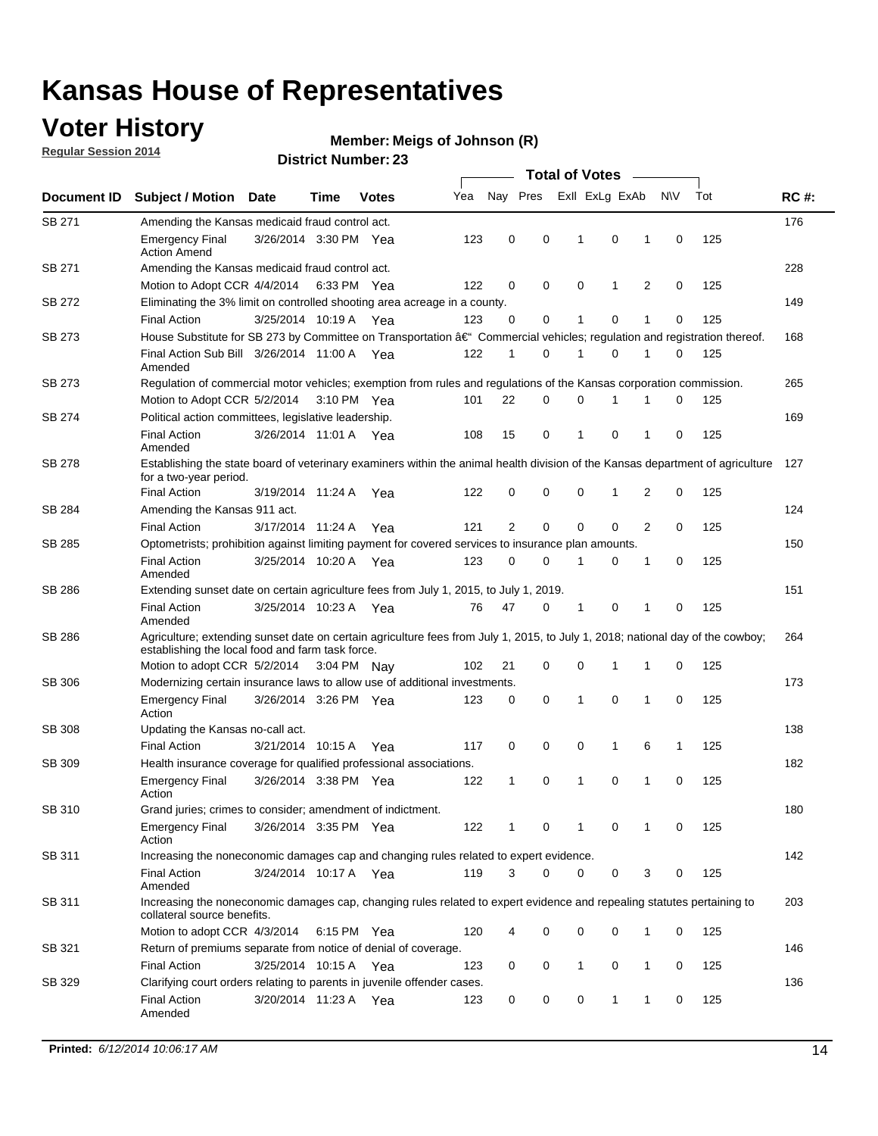### **Voter History**

**Regular Session 2014**

#### **Member: Meigs of Johnson (R)**

| Nay Pres<br>Exll ExLg ExAb<br>N\V<br>Tot<br>Yea<br>Document ID<br><b>Subject / Motion Date</b><br><b>Votes</b><br>Time<br>SB 271<br>Amending the Kansas medicaid fraud control act.<br>0<br>0<br>0<br><b>Emergency Final</b><br>3/26/2014 3:30 PM Yea<br>123<br>-1<br>1<br>0<br><b>Action Amend</b><br>SB 271<br>Amending the Kansas medicaid fraud control act.<br>Motion to Adopt CCR 4/4/2014 6:33 PM Yea<br>122<br>0<br>0<br>0<br>1<br>2<br>0<br>SB 272<br>Eliminating the 3% limit on controlled shooting area acreage in a county.<br>3/25/2014 10:19 A Yea<br>123<br>0<br>0<br>1<br>0<br>1<br>0<br><b>Final Action</b><br>House Substitute for SB 273 by Committee on Transportation †Commercial vehicles; regulation and registration thereof.<br>SB 273<br>Final Action Sub Bill 3/26/2014 11:00 A Yea<br>122<br>0<br>1<br>0<br>1<br>1<br>0<br>Amended<br>SB 273<br>Regulation of commercial motor vehicles; exemption from rules and regulations of the Kansas corporation commission. | 125<br>125<br>125<br>125<br>125 | <b>RC#:</b><br>176<br>228<br>149<br>168<br>265 |
|--------------------------------------------------------------------------------------------------------------------------------------------------------------------------------------------------------------------------------------------------------------------------------------------------------------------------------------------------------------------------------------------------------------------------------------------------------------------------------------------------------------------------------------------------------------------------------------------------------------------------------------------------------------------------------------------------------------------------------------------------------------------------------------------------------------------------------------------------------------------------------------------------------------------------------------------------------------------------------------------------|---------------------------------|------------------------------------------------|
|                                                                                                                                                                                                                                                                                                                                                                                                                                                                                                                                                                                                                                                                                                                                                                                                                                                                                                                                                                                                  |                                 |                                                |
|                                                                                                                                                                                                                                                                                                                                                                                                                                                                                                                                                                                                                                                                                                                                                                                                                                                                                                                                                                                                  |                                 |                                                |
|                                                                                                                                                                                                                                                                                                                                                                                                                                                                                                                                                                                                                                                                                                                                                                                                                                                                                                                                                                                                  |                                 |                                                |
|                                                                                                                                                                                                                                                                                                                                                                                                                                                                                                                                                                                                                                                                                                                                                                                                                                                                                                                                                                                                  |                                 |                                                |
|                                                                                                                                                                                                                                                                                                                                                                                                                                                                                                                                                                                                                                                                                                                                                                                                                                                                                                                                                                                                  |                                 |                                                |
|                                                                                                                                                                                                                                                                                                                                                                                                                                                                                                                                                                                                                                                                                                                                                                                                                                                                                                                                                                                                  |                                 |                                                |
|                                                                                                                                                                                                                                                                                                                                                                                                                                                                                                                                                                                                                                                                                                                                                                                                                                                                                                                                                                                                  |                                 |                                                |
|                                                                                                                                                                                                                                                                                                                                                                                                                                                                                                                                                                                                                                                                                                                                                                                                                                                                                                                                                                                                  |                                 |                                                |
|                                                                                                                                                                                                                                                                                                                                                                                                                                                                                                                                                                                                                                                                                                                                                                                                                                                                                                                                                                                                  |                                 |                                                |
|                                                                                                                                                                                                                                                                                                                                                                                                                                                                                                                                                                                                                                                                                                                                                                                                                                                                                                                                                                                                  |                                 |                                                |
| 22<br>0<br>0<br>Motion to Adopt CCR 5/2/2014 3:10 PM Yea<br>101<br>1<br>1<br>0                                                                                                                                                                                                                                                                                                                                                                                                                                                                                                                                                                                                                                                                                                                                                                                                                                                                                                                   |                                 |                                                |
| SB 274<br>Political action committees, legislative leadership.                                                                                                                                                                                                                                                                                                                                                                                                                                                                                                                                                                                                                                                                                                                                                                                                                                                                                                                                   |                                 | 169                                            |
| $\mathbf 0$<br>15<br>0<br>$\mathbf{1}$<br>0<br><b>Final Action</b><br>3/26/2014 11:01 A Yea<br>108<br>1<br>Amended                                                                                                                                                                                                                                                                                                                                                                                                                                                                                                                                                                                                                                                                                                                                                                                                                                                                               | 125                             |                                                |
| <b>SB 278</b><br>Establishing the state board of veterinary examiners within the animal health division of the Kansas department of agriculture<br>for a two-year period.                                                                                                                                                                                                                                                                                                                                                                                                                                                                                                                                                                                                                                                                                                                                                                                                                        |                                 | 127                                            |
| <b>Final Action</b><br>3/19/2014 11:24 A<br>122<br>0<br>0<br>0<br>1<br>2<br>0<br>Yea                                                                                                                                                                                                                                                                                                                                                                                                                                                                                                                                                                                                                                                                                                                                                                                                                                                                                                             | 125                             |                                                |
| SB 284<br>Amending the Kansas 911 act.                                                                                                                                                                                                                                                                                                                                                                                                                                                                                                                                                                                                                                                                                                                                                                                                                                                                                                                                                           |                                 | 124                                            |
| 2<br>$\mathbf 0$<br>$\mathbf 0$<br>$\mathbf 0$<br>2<br>3/17/2014 11:24 A<br>121<br>0<br><b>Final Action</b><br>Yea                                                                                                                                                                                                                                                                                                                                                                                                                                                                                                                                                                                                                                                                                                                                                                                                                                                                               | 125                             |                                                |
| SB 285<br>Optometrists; prohibition against limiting payment for covered services to insurance plan amounts.                                                                                                                                                                                                                                                                                                                                                                                                                                                                                                                                                                                                                                                                                                                                                                                                                                                                                     |                                 | 150                                            |
| 3/25/2014 10:20 A Yea<br>0<br>0<br>$\mathbf 0$<br><b>Final Action</b><br>123<br>$\mathbf{1}$<br>0<br>1<br>Amended                                                                                                                                                                                                                                                                                                                                                                                                                                                                                                                                                                                                                                                                                                                                                                                                                                                                                | 125                             |                                                |
| SB 286<br>Extending sunset date on certain agriculture fees from July 1, 2015, to July 1, 2019.                                                                                                                                                                                                                                                                                                                                                                                                                                                                                                                                                                                                                                                                                                                                                                                                                                                                                                  |                                 | 151                                            |
| 3/25/2014 10:23 A Yea<br>47<br>0<br>0<br><b>Final Action</b><br>76<br>-1<br>1<br>0<br>Amended                                                                                                                                                                                                                                                                                                                                                                                                                                                                                                                                                                                                                                                                                                                                                                                                                                                                                                    | 125                             |                                                |
| SB 286<br>Agriculture; extending sunset date on certain agriculture fees from July 1, 2015, to July 1, 2018; national day of the cowboy;<br>establishing the local food and farm task force.                                                                                                                                                                                                                                                                                                                                                                                                                                                                                                                                                                                                                                                                                                                                                                                                     |                                 | 264                                            |
| 102<br>0<br>0<br>Motion to adopt CCR 5/2/2014 3:04 PM Nav<br>21<br>1<br>1<br>0                                                                                                                                                                                                                                                                                                                                                                                                                                                                                                                                                                                                                                                                                                                                                                                                                                                                                                                   | 125                             |                                                |
| <b>SB 306</b><br>Modernizing certain insurance laws to allow use of additional investments.                                                                                                                                                                                                                                                                                                                                                                                                                                                                                                                                                                                                                                                                                                                                                                                                                                                                                                      |                                 | 173                                            |
| 3/26/2014 3:26 PM Yea<br>0<br>1<br>0<br>1<br>0<br><b>Emergency Final</b><br>123<br>0<br>Action                                                                                                                                                                                                                                                                                                                                                                                                                                                                                                                                                                                                                                                                                                                                                                                                                                                                                                   | 125                             |                                                |
| <b>SB 308</b><br>Updating the Kansas no-call act.                                                                                                                                                                                                                                                                                                                                                                                                                                                                                                                                                                                                                                                                                                                                                                                                                                                                                                                                                |                                 | 138                                            |
| 3/21/2014 10:15 A<br>0<br>0<br>0<br>$\mathbf{1}$<br>6<br><b>Final Action</b><br>117<br>1<br>Yea                                                                                                                                                                                                                                                                                                                                                                                                                                                                                                                                                                                                                                                                                                                                                                                                                                                                                                  | 125                             |                                                |
| SB 309<br>Health insurance coverage for qualified professional associations.                                                                                                                                                                                                                                                                                                                                                                                                                                                                                                                                                                                                                                                                                                                                                                                                                                                                                                                     |                                 | 182                                            |
| 3/26/2014 3:38 PM Yea<br>$\mathbf{1}$<br>0<br>1<br>0<br>1<br>$\mathbf 0$<br><b>Emergency Final</b><br>122<br>Action                                                                                                                                                                                                                                                                                                                                                                                                                                                                                                                                                                                                                                                                                                                                                                                                                                                                              | 125                             |                                                |
| SB 310<br>Grand juries; crimes to consider; amendment of indictment.                                                                                                                                                                                                                                                                                                                                                                                                                                                                                                                                                                                                                                                                                                                                                                                                                                                                                                                             |                                 | 180                                            |
| <b>Emergency Final</b><br>3/26/2014 3:35 PM Yea<br>122<br>0<br>0<br>0<br>1<br>1<br>1<br>Action                                                                                                                                                                                                                                                                                                                                                                                                                                                                                                                                                                                                                                                                                                                                                                                                                                                                                                   | 125                             |                                                |
| SB 311<br>Increasing the noneconomic damages cap and changing rules related to expert evidence.                                                                                                                                                                                                                                                                                                                                                                                                                                                                                                                                                                                                                                                                                                                                                                                                                                                                                                  |                                 | 142                                            |
| 3/24/2014 10:17 A Yea<br>119<br>3<br>$\Omega$<br>0<br>0<br>3<br><b>Final Action</b><br>0<br>Amended                                                                                                                                                                                                                                                                                                                                                                                                                                                                                                                                                                                                                                                                                                                                                                                                                                                                                              | 125                             |                                                |
| SB 311<br>Increasing the noneconomic damages cap, changing rules related to expert evidence and repealing statutes pertaining to<br>collateral source benefits.                                                                                                                                                                                                                                                                                                                                                                                                                                                                                                                                                                                                                                                                                                                                                                                                                                  |                                 | 203                                            |
| 0<br>0<br>Motion to adopt CCR 4/3/2014 6:15 PM Yea<br>120<br>0<br>1<br>0                                                                                                                                                                                                                                                                                                                                                                                                                                                                                                                                                                                                                                                                                                                                                                                                                                                                                                                         | 125                             |                                                |
| SB 321<br>Return of premiums separate from notice of denial of coverage.                                                                                                                                                                                                                                                                                                                                                                                                                                                                                                                                                                                                                                                                                                                                                                                                                                                                                                                         |                                 | 146                                            |
| 3/25/2014 10:15 A Yea<br>0<br>$\mathbf{1}$<br>0<br><b>Final Action</b><br>123<br>0<br>1<br>0                                                                                                                                                                                                                                                                                                                                                                                                                                                                                                                                                                                                                                                                                                                                                                                                                                                                                                     | 125                             |                                                |
| SB 329<br>Clarifying court orders relating to parents in juvenile offender cases.<br>3/20/2014 11:23 A Yea<br>0<br><b>Final Action</b><br>123<br>0<br>0<br>1<br>1<br>0<br>Amended                                                                                                                                                                                                                                                                                                                                                                                                                                                                                                                                                                                                                                                                                                                                                                                                                | 125                             | 136                                            |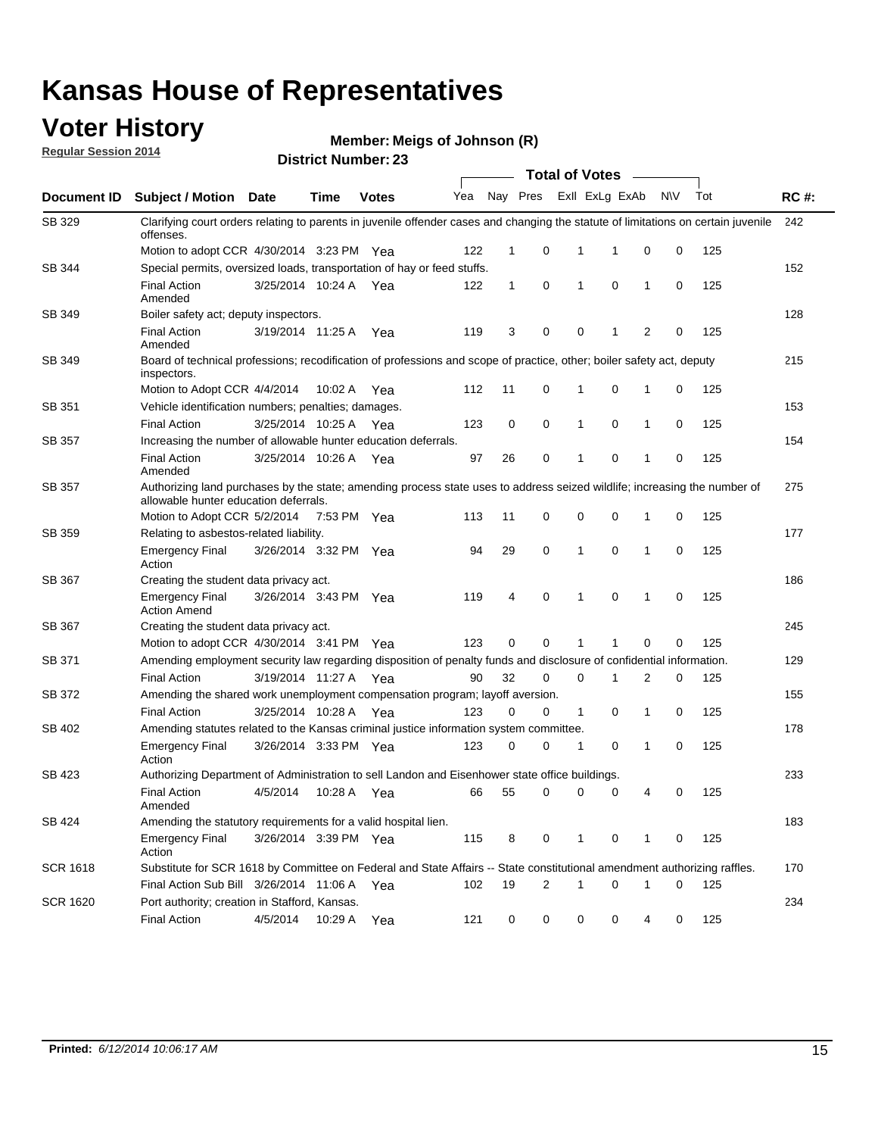### **Voter History**

**Regular Session 2014**

#### **Member: Meigs of Johnson (R)**

|                 | <b>Total of Votes</b>                                                                                                                           |                                                                                                                                                                                                                                       |             |              |     |              |          |   |                   |                |           |     |             |
|-----------------|-------------------------------------------------------------------------------------------------------------------------------------------------|---------------------------------------------------------------------------------------------------------------------------------------------------------------------------------------------------------------------------------------|-------------|--------------|-----|--------------|----------|---|-------------------|----------------|-----------|-----|-------------|
| Document ID     | Subject / Motion Date                                                                                                                           |                                                                                                                                                                                                                                       | <b>Time</b> | <b>Votes</b> | Yea |              | Nay Pres |   | Exll ExLg ExAb    |                | <b>NV</b> | Tot | <b>RC#:</b> |
| SB 329          | Clarifying court orders relating to parents in juvenile offender cases and changing the statute of limitations on certain juvenile<br>offenses. |                                                                                                                                                                                                                                       |             |              |     |              |          |   |                   |                |           |     | 242         |
|                 | Motion to adopt CCR 4/30/2014 3:23 PM Yea                                                                                                       |                                                                                                                                                                                                                                       |             |              | 122 | $\mathbf 1$  | 0        | 1 | -1                | 0              | 0         | 125 |             |
| SB 344          | Special permits, oversized loads, transportation of hay or feed stuffs.                                                                         |                                                                                                                                                                                                                                       |             |              |     |              |          |   |                   |                |           |     | 152         |
|                 | <b>Final Action</b><br>Amended                                                                                                                  | 3/25/2014 10:24 A                                                                                                                                                                                                                     |             | Yea          | 122 | $\mathbf{1}$ | 0        | 1 | 0                 | 1              | 0         | 125 |             |
| SB 349          | Boiler safety act; deputy inspectors.                                                                                                           |                                                                                                                                                                                                                                       |             |              |     |              |          |   |                   |                |           |     | 128         |
|                 | <b>Final Action</b><br>Amended                                                                                                                  | 3/19/2014 11:25 A                                                                                                                                                                                                                     |             | Yea          | 119 | 3            | 0        |   | 0<br>1            | $\overline{2}$ | 0         | 125 |             |
| SB 349          | Board of technical professions; recodification of professions and scope of practice, other; boiler safety act, deputy<br>inspectors.            |                                                                                                                                                                                                                                       |             |              |     |              |          |   |                   |                |           |     | 215         |
|                 | Motion to Adopt CCR 4/4/2014                                                                                                                    |                                                                                                                                                                                                                                       | 10:02 A     | Yea          | 112 | 11           | 0        | 1 | 0                 | 1              | 0         | 125 |             |
| SB 351          | Vehicle identification numbers; penalties; damages.                                                                                             |                                                                                                                                                                                                                                       |             |              |     |              |          |   |                   |                |           |     | 153         |
|                 | <b>Final Action</b>                                                                                                                             | 3/25/2014 10:25 A                                                                                                                                                                                                                     |             | Yea          | 123 | 0            | 0        | 1 | 0                 | 1              | 0         | 125 |             |
| <b>SB 357</b>   | Increasing the number of allowable hunter education deferrals.                                                                                  |                                                                                                                                                                                                                                       |             |              |     |              |          |   |                   |                |           |     | 154         |
|                 | <b>Final Action</b><br>Amended                                                                                                                  | 3/25/2014 10:26 A                                                                                                                                                                                                                     |             | Yea          | 97  | 26           | 0        | 1 | 0                 | 1              | 0         | 125 |             |
| <b>SB 357</b>   |                                                                                                                                                 | Authorizing land purchases by the state; amending process state uses to address seized wildlife; increasing the number of<br>allowable hunter education deferrals.<br>0<br>$\mathbf 0$<br>Motion to Adopt CCR 5/2/2014<br>7:53 PM Yea |             |              |     |              |          |   |                   |                |           |     | 275         |
|                 |                                                                                                                                                 |                                                                                                                                                                                                                                       |             |              | 113 | 11           | 0        |   |                   | 1              | 0         | 125 |             |
| SB 359          | Relating to asbestos-related liability.                                                                                                         |                                                                                                                                                                                                                                       |             |              |     |              |          |   |                   |                |           |     | 177         |
|                 | <b>Emergency Final</b><br>Action                                                                                                                | 3/26/2014 3:32 PM Yea                                                                                                                                                                                                                 |             |              | 94  | 29           | 0        | 1 | $\mathbf 0$       | $\mathbf{1}$   | 0         | 125 |             |
| SB 367          | Creating the student data privacy act.                                                                                                          |                                                                                                                                                                                                                                       |             |              |     |              |          |   |                   |                |           | 186 |             |
|                 | <b>Emergency Final</b><br><b>Action Amend</b>                                                                                                   | 3/26/2014 3:43 PM Yea                                                                                                                                                                                                                 |             |              | 119 | 4            | 0        | 1 | 0                 | 1              | 0         | 125 |             |
| SB 367          | Creating the student data privacy act.                                                                                                          |                                                                                                                                                                                                                                       |             |              |     |              |          |   |                   |                |           |     | 245         |
|                 | Motion to adopt CCR 4/30/2014 3:41 PM Yea                                                                                                       |                                                                                                                                                                                                                                       |             |              | 123 | 0            | $\Omega$ |   | 1                 | 0              | 0         | 125 |             |
| SB 371          | Amending employment security law regarding disposition of penalty funds and disclosure of confidential information.                             |                                                                                                                                                                                                                                       |             |              |     |              |          |   |                   |                |           |     | 129         |
|                 | <b>Final Action</b>                                                                                                                             | 3/19/2014 11:27 A                                                                                                                                                                                                                     |             | Yea          | 90  | 32           | 0        |   | $\mathbf 0$<br>1  | 2              | 0         | 125 |             |
| SB 372          | Amending the shared work unemployment compensation program; layoff aversion.                                                                    |                                                                                                                                                                                                                                       |             |              |     |              |          |   |                   |                |           |     | 155         |
|                 | <b>Final Action</b>                                                                                                                             | 3/25/2014 10:28 A                                                                                                                                                                                                                     |             | Yea          | 123 | 0            | 0        |   | $\mathbf{1}$<br>0 | 1              | 0         | 125 |             |
| SB 402          | Amending statutes related to the Kansas criminal justice information system committee.                                                          |                                                                                                                                                                                                                                       |             |              |     |              |          |   |                   |                |           |     | 178         |
|                 | <b>Emergency Final</b><br>Action                                                                                                                | 3/26/2014 3:33 PM Yea                                                                                                                                                                                                                 |             |              | 123 | 0            | 0        | 1 | 0                 | 1              | 0         | 125 |             |
| SB 423          | Authorizing Department of Administration to sell Landon and Eisenhower state office buildings.                                                  |                                                                                                                                                                                                                                       |             |              |     |              |          |   |                   |                |           |     | 233         |
|                 | <b>Final Action</b><br>Amended                                                                                                                  | 4/5/2014                                                                                                                                                                                                                              | 10:28 A Yea |              | 66  | 55           | 0        |   | 0<br>0            | 4              | 0         | 125 |             |
| SB 424          | Amending the statutory requirements for a valid hospital lien.                                                                                  |                                                                                                                                                                                                                                       |             |              |     |              |          |   |                   |                |           |     | 183         |
|                 | <b>Emergency Final</b><br>Action                                                                                                                | 3/26/2014 3:39 PM Yea                                                                                                                                                                                                                 |             |              | 115 | 8            | 0        |   | 1<br>0            | 1              | 0         | 125 |             |
| <b>SCR 1618</b> | Substitute for SCR 1618 by Committee on Federal and State Affairs -- State constitutional amendment authorizing raffles.                        |                                                                                                                                                                                                                                       |             |              |     |              |          |   |                   |                |           |     | 170         |
|                 | Final Action Sub Bill 3/26/2014 11:06 A Yea                                                                                                     |                                                                                                                                                                                                                                       |             |              | 102 | 19           | 2        | 1 | 0                 | 1              | 0         | 125 |             |
| <b>SCR 1620</b> | Port authority; creation in Stafford, Kansas.                                                                                                   |                                                                                                                                                                                                                                       |             |              |     |              |          |   |                   |                |           |     | 234         |
|                 | <b>Final Action</b>                                                                                                                             | 4/5/2014                                                                                                                                                                                                                              | 10:29 A Yea |              | 121 | 0            | 0        |   | 0                 | 0<br>4         | 0         | 125 |             |